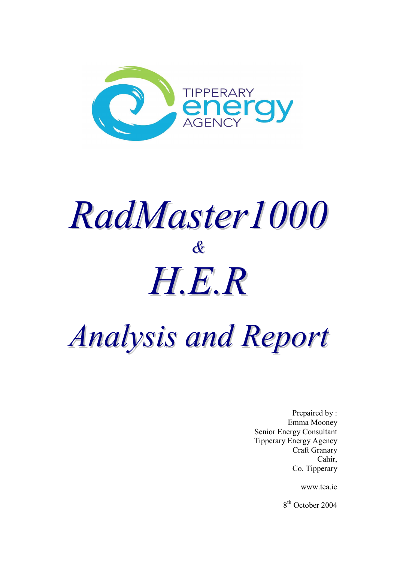

# *RadMaster1000 & H.E.R*

## *Analysis and Report*

Prepaired by : Emma Mooney Senior Energy Consultant Tipperary Energy Agency Craft Granary Cahir, Co. Tipperary

www.tea.ie

8<sup>th</sup> October 2004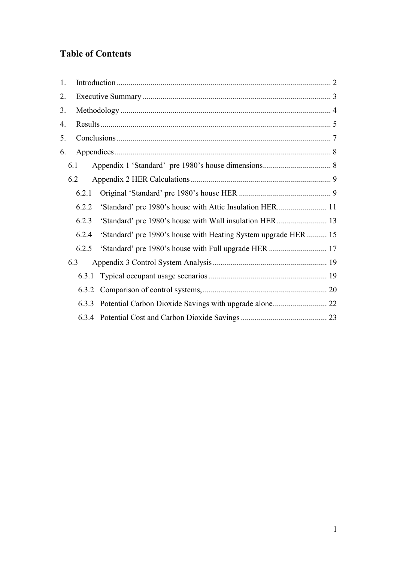## **Table of Contents**

| 1. |       |                                                                 |  |
|----|-------|-----------------------------------------------------------------|--|
| 2. |       |                                                                 |  |
| 3. |       |                                                                 |  |
| 4. |       |                                                                 |  |
| 5. |       |                                                                 |  |
| 6. |       |                                                                 |  |
|    | 6.1   |                                                                 |  |
|    | 6.2   |                                                                 |  |
|    | 6.2.1 |                                                                 |  |
|    | 6.2.2 |                                                                 |  |
|    | 6.2.3 |                                                                 |  |
|    | 6.2.4 | 'Standard' pre 1980's house with Heating System upgrade HER  15 |  |
|    | 6.2.5 |                                                                 |  |
|    | 6.3   |                                                                 |  |
|    |       |                                                                 |  |
|    |       |                                                                 |  |
|    | 6.3.3 |                                                                 |  |
|    |       |                                                                 |  |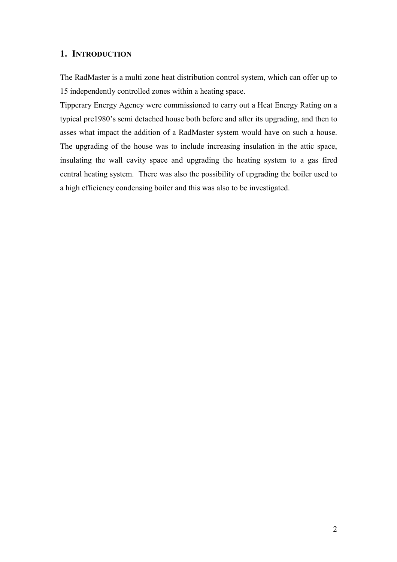## <span id="page-2-0"></span>**1. INTRODUCTION**

The RadMaster is a multi zone heat distribution control system, which can offer up to 15 independently controlled zones within a heating space.

Tipperary Energy Agency were commissioned to carry out a Heat Energy Rating on a typical pre1980's semi detached house both before and after its upgrading, and then to asses what impact the addition of a RadMaster system would have on such a house. The upgrading of the house was to include increasing insulation in the attic space, insulating the wall cavity space and upgrading the heating system to a gas fired central heating system. There was also the possibility of upgrading the boiler used to a high efficiency condensing boiler and this was also to be investigated.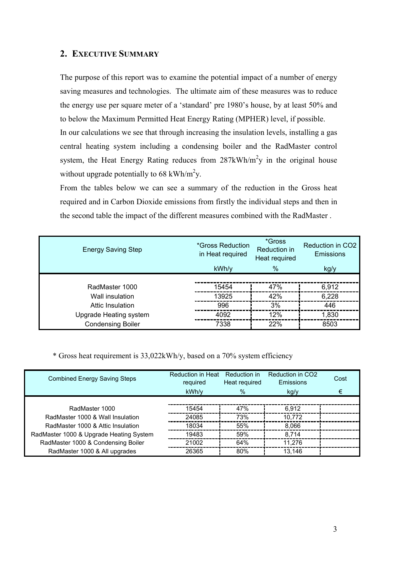## <span id="page-3-0"></span>**2. EXECUTIVE SUMMARY**

The purpose of this report was to examine the potential impact of a number of energy saving measures and technologies. The ultimate aim of these measures was to reduce the energy use per square meter of a 'standard' pre 1980's house, by at least 50% and to below the Maximum Permitted Heat Energy Rating (MPHER) level, if possible. In our calculations we see that through increasing the insulation levels, installing a gas central heating system including a condensing boiler and the RadMaster control system, the Heat Energy Rating reduces from  $287kWh/m^2y$  in the original house without upgrade potentially to 68 kWh/m<sup>2</sup>y.

From the tables below we can see a summary of the reduction in the Gross heat required and in Carbon Dioxide emissions from firstly the individual steps and then in the second table the impact of the different measures combined with the RadMaster .

| <b>Energy Saving Step</b> | *Gross Reduction<br>in Heat required | *Gross<br>Reduction in<br>Heat required | Reduction in CO2<br>Emissions |
|---------------------------|--------------------------------------|-----------------------------------------|-------------------------------|
|                           | kWh/y                                | $\frac{9}{6}$                           | kg/y                          |
|                           |                                      |                                         |                               |
| RadMaster 1000            | 15454                                | 47%                                     | 6,912                         |
| Wall insulation           | 13925                                | 42%                                     | 6,228                         |
| Attic Insulation          | 996                                  | 3%                                      | 446                           |
| Upgrade Heating system    | 4092                                 | 12%                                     | 1,830                         |
| <b>Condensing Boiler</b>  | 7338                                 | 22%                                     | 8503                          |

\* Gross heat requirement is 33,022kWh/y, based on a 70% system efficiency

| <b>Combined Energy Saving Steps</b>     | <b>Reduction in Heat</b><br>required | Reduction in<br>Heat required | Reduction in CO <sub>2</sub><br>Emissions | Cost |
|-----------------------------------------|--------------------------------------|-------------------------------|-------------------------------------------|------|
|                                         | kWh/v                                | $\%$                          | kg/y                                      | €    |
|                                         |                                      |                               |                                           |      |
| RadMaster 1000                          | 15454                                | 47%                           | 6,912                                     |      |
| RadMaster 1000 & Wall Insulation        | 24085                                | 73%                           | 10,772                                    |      |
| RadMaster 1000 & Attic Insulation       | 18034                                | 55%                           | 8,066                                     |      |
| RadMaster 1000 & Upgrade Heating System | 19483                                | 59%                           | 8,714                                     |      |
| RadMaster 1000 & Condensing Boiler      | 21002                                | 64%                           | 11,276                                    |      |
| RadMaster 1000 & All upgrades           | 26365                                | 80%                           | 13.146                                    |      |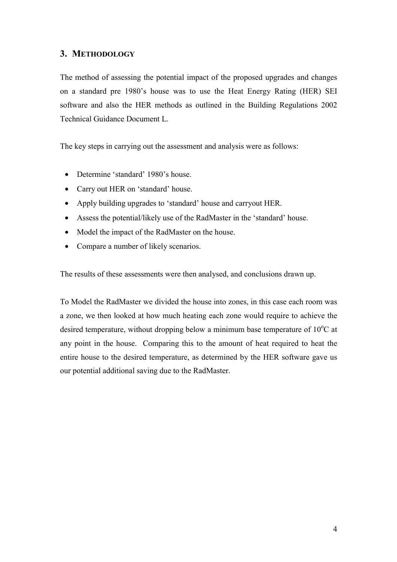## <span id="page-4-0"></span>**3. METHODOLOGY**

The method of assessing the potential impact of the proposed upgrades and changes on a standard pre 1980's house was to use the Heat Energy Rating (HER) SEI software and also the HER methods as outlined in the Building Regulations 2002 Technical Guidance Document L.

The key steps in carrying out the assessment and analysis were as follows:

- Determine 'standard' 1980's house.
- Carry out HER on 'standard' house.
- Apply building upgrades to 'standard' house and carryout HER.
- Assess the potential/likely use of the RadMaster in the 'standard' house.
- Model the impact of the RadMaster on the house.
- Compare a number of likely scenarios.

The results of these assessments were then analysed, and conclusions drawn up.

To Model the RadMaster we divided the house into zones, in this case each room was a zone, we then looked at how much heating each zone would require to achieve the desired temperature, without dropping below a minimum base temperature of  $10^{\circ}$ C at any point in the house. Comparing this to the amount of heat required to heat the entire house to the desired temperature, as determined by the HER software gave us our potential additional saving due to the RadMaster.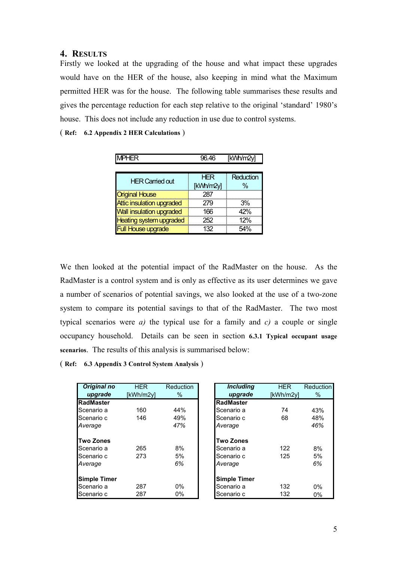## <span id="page-5-0"></span>**4. RESULTS**

Firstly we looked at the upgrading of the house and what impact these upgrades would have on the HER of the house, also keeping in mind what the Maximum permitted HER was for the house. The following table summarises these results and gives the percentage reduction for each step relative to the original 'standard' 1980's house. This does not include any reduction in use due to control systems.

( **Ref: 6.2 Appendix 2 HER Calculations** )

| <b>HER Carried out</b>           | HFR       | Reduction |
|----------------------------------|-----------|-----------|
|                                  | [kWh/m2y] |           |
| <b>Original House</b>            |           |           |
| <b>Attic insulation upgraded</b> |           | 3%        |
| <b>Wall insulation upgraded</b>  | 166       | 42%       |
| <b>Heating system upgraded</b>   | 252       | 12%       |
| I House upgrade                  | 132       |           |

We then looked at the potential impact of the RadMaster on the house. As the RadMaster is a control system and is only as effective as its user determines we gave a number of scenarios of potential savings, we also looked at the use of a two-zone system to compare its potential savings to that of the RadMaster. The two most typical scenarios were *a)* the typical use for a family and *c)* a couple or single occupancy household. Details can be seen in section **6.3.1 Typical occupant usage scenarios**. The results of this analysis is summarised below:

( **Ref: 6.3 Appendix 3 Control System Analysis** )

| Original no         | <b>HER</b> | Reduction | <b>Including</b>    | <b>HER</b> | Reduction |
|---------------------|------------|-----------|---------------------|------------|-----------|
| upgrade             | [kWh/m2y]  | $\%$      | upgrade             | [kWh/m2y]  | $\%$      |
| RadMaster           |            |           | <b>IRadMaster</b>   |            |           |
| Scenario a          | 160        | 44%       | Scenario a          | 74         | 43%       |
| Scenario c          | 146        | 49%       | Scenario c          | 68         | 48%       |
| Average             |            | 47%       | Average             |            | 46%       |
| <b>Two Zones</b>    |            |           | <b>Two Zones</b>    |            |           |
| Scenario a          | 265        | 8%        | Scenario a          | 122        | 8%        |
| Scenario c          | 273        | 5%        | Scenario c          | 125        | 5%        |
| Average             |            | 6%        | Average             |            | 6%        |
| <b>Simple Timer</b> |            |           | <b>Simple Timer</b> |            |           |
| Scenario a          | 287        | $0\%$     | Scenario a          | 132        | $0\%$     |
| Scenario c          | 287        | 0%        | Scenario c          | 132        | $0\%$     |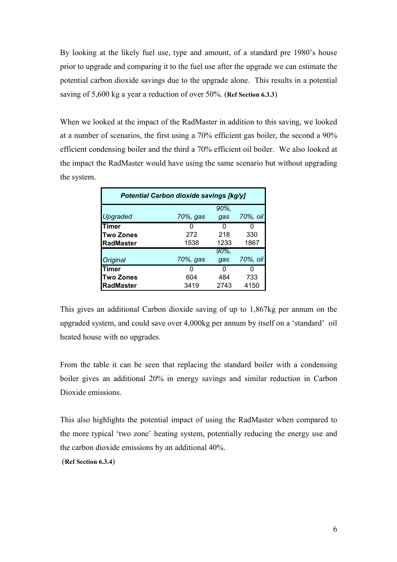By looking at the likely fuel use, type and amount, of a standard pre 1980's house prior to upgrade and comparing it to the fuel use after the upgrade we can estimate the potential carbon dioxide savings due to the upgrade alone. This results in a potential saving of 5,600 kg a year a reduction of over 50%. (**Ref Section 6.3.3**)

When we looked at the impact of the RadMaster in addition to this saving, we looked at a number of scenarios, the first using a 70% efficient gas boiler, the second a 90% efficient condensing boiler and the third a 70% efficient oil boiler. We also looked at the impact the RadMaster would have using the same scenario but without upgrading the system.

| Potential Carbon dioxide savings [kg/y] |          |          |          |  |  |
|-----------------------------------------|----------|----------|----------|--|--|
|                                         |          | 90%,     |          |  |  |
| Upgraded                                | 70%, gas | qas      | 70%, oil |  |  |
| Timer                                   |          | 0        | O        |  |  |
| <b>Two Zones</b>                        | 272      | 218      | 330      |  |  |
| <b>RadMaster</b>                        | 1538     | 1233     | 1867     |  |  |
|                                         |          | $90\%$ , |          |  |  |
| Original                                | 70%, gas | gas      | 70%, oil |  |  |
| Timer                                   |          | 0        | O        |  |  |
| <b>Two Zones</b>                        | 604      | 484      | 733      |  |  |
| <b>RadMaster</b>                        | 3419     | 2743     | 4150     |  |  |

This gives an additional Carbon dioxide saving of up to 1,867kg per annum on the upgraded system, and could save over 4,000kg per annum by itself on a 'standard' oil heated house with no upgrades.

From the table it can be seen that replacing the standard boiler with a condensing boiler gives an additional 20% in energy savings and similar reduction in Carbon Dioxide emissions.

This also highlights the potential impact of using the RadMaster when compared to the more typical 'two zone' heating system, potentially reducing the energy use and the carbon dioxide emissions by an additional 40%.

(**Ref Section 6.3.4**)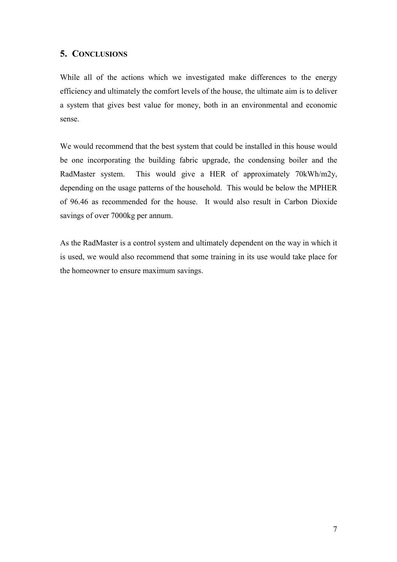## <span id="page-7-0"></span>**5. CONCLUSIONS**

While all of the actions which we investigated make differences to the energy efficiency and ultimately the comfort levels of the house, the ultimate aim is to deliver a system that gives best value for money, both in an environmental and economic sense.

We would recommend that the best system that could be installed in this house would be one incorporating the building fabric upgrade, the condensing boiler and the RadMaster system. This would give a HER of approximately 70kWh/m2y, depending on the usage patterns of the household. This would be below the MPHER of 96.46 as recommended for the house. It would also result in Carbon Dioxide savings of over 7000kg per annum.

As the RadMaster is a control system and ultimately dependent on the way in which it is used, we would also recommend that some training in its use would take place for the homeowner to ensure maximum savings.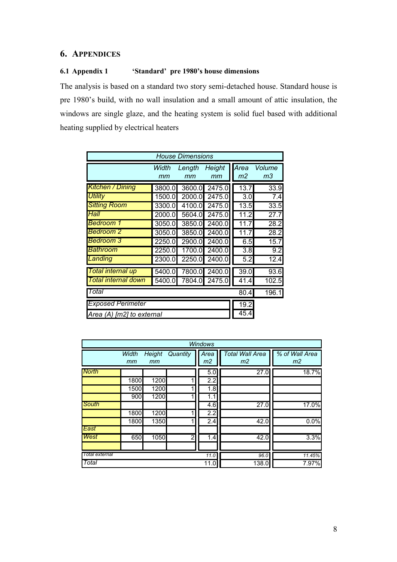## <span id="page-8-0"></span>**6. APPENDICES**

### **6.1 Appendix 1 'Standard' pre 1980's house dimensions**

The analysis is based on a standard two story semi-detached house. Standard house is pre 1980's build, with no wall insulation and a small amount of attic insulation, the windows are single glaze, and the heating system is solid fuel based with additional heating supplied by electrical heaters

| <b>House Dimensions</b>  |                           |              |              |            |                   |  |  |  |
|--------------------------|---------------------------|--------------|--------------|------------|-------------------|--|--|--|
|                          | Width<br>mm               | Length<br>mm | Height<br>mm | Area<br>m2 | Volume<br>mЗ      |  |  |  |
| <b>Kitchen / Dining</b>  | 3800.0                    | 3600.0       | 2475.0       | 13.7       | 33.9              |  |  |  |
| <b>Utility</b>           | 1500.0                    | 2000.0       | 2475.0       | 3.0        | 7.4               |  |  |  |
| <b>Sitting Room</b>      | 3300.0                    | 4100.0       | 2475.0       | 13.5       | 33.5              |  |  |  |
| Hall                     | 2000.0                    | 5604.0       | 2475.0       | 11.2       | 27.7              |  |  |  |
| <b>Bedroom 1</b>         | 3050.0                    | 3850.0       | 2400.0       | 11.7       | 28.2              |  |  |  |
| <b>Bedroom 2</b>         | 3050.0                    | 3850.0       | 2400.0       | 11.7       | $\overline{28.2}$ |  |  |  |
| <b>Bedroom 3</b>         | 2250.0                    | 2900.0       | 2400.0       | 6.5        | 15.7              |  |  |  |
| <b>Bathroom</b>          | 2250.0                    | 1700.0       | 2400.0       | 3.8        | 9.2               |  |  |  |
| Landing                  | 2300.0                    | 2250.0       | 2400.0       | 5.2        | 12.4              |  |  |  |
| Total internal up        | 5400.0                    | 7800.0       | 2400.0       | 39.0       | 93.6              |  |  |  |
| Total internal down      | 5400.0                    | 7804.0       | 2475.0       | 41.4       | 102.5             |  |  |  |
| Total                    | 80.4                      | 196.1        |              |            |                   |  |  |  |
| <b>Exposed Perimeter</b> | 19.2                      |              |              |            |                   |  |  |  |
|                          | Area (A) [m2] to external |              |              |            |                   |  |  |  |

|                 | <b>Windows</b> |                     |                |                         |                                          |                                  |  |  |
|-----------------|----------------|---------------------|----------------|-------------------------|------------------------------------------|----------------------------------|--|--|
|                 | Width<br>mm    | <b>Height</b><br>mm | Quantity       | Area<br>m2              | <b>Total Wall Area</b><br>m <sub>2</sub> | % of Wall Area<br>m <sub>2</sub> |  |  |
| <b>North</b>    | 1800           | 1200                |                | 5.0<br>2.2              | 27.0                                     | 18.7%                            |  |  |
|                 | 1500<br>900    | 1200<br>1200        |                | $\overline{1.8}$<br>1.1 |                                          |                                  |  |  |
| South           | 1800           | 1200                |                | 4.6<br>$\overline{2.2}$ | 27.0                                     | 17.0%                            |  |  |
| East            | 1800           | 1350                |                | 2.4                     | 42.0                                     | 0.0%                             |  |  |
| West            | 650            | 1050                | $\overline{2}$ | 1.4                     | 42.0                                     | 3.3%                             |  |  |
| I otal external |                |                     |                | 11.0                    | 96.0                                     | 11.45%                           |  |  |
| Total           |                |                     |                | 11.0                    | 138.0                                    | 7.97%                            |  |  |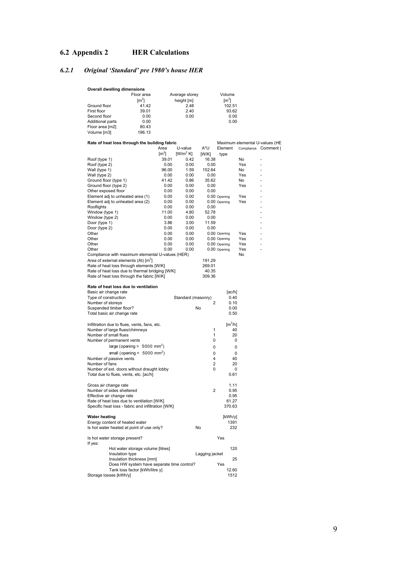## <span id="page-9-0"></span>**6.2 Appendix 2 HER Calculations**

## *6.2.1 Original 'Standard' pre 1980's house HER*

| Overall dwelling dimensions |                     |                |               |  |  |  |  |
|-----------------------------|---------------------|----------------|---------------|--|--|--|--|
|                             | Floor area          | Average storey | Volume        |  |  |  |  |
|                             | $\lceil m^2 \rceil$ | height [m]     | $\text{[m}^3$ |  |  |  |  |
| Ground floor                | 41.42               | 2.48           | 102.51        |  |  |  |  |
| First floor                 | 39.01               | 2.40           | 93.62         |  |  |  |  |
| Second floor                | 0.00                | 0.00           | 0.00          |  |  |  |  |
| <b>Additional parts</b>     | 0.00                |                | 0.00          |  |  |  |  |
| Floor area [m2]             | 80.43               |                |               |  |  |  |  |
| Volume [m3]                 | 196.13              |                |               |  |  |  |  |

| Rate of heat loss through the building fabric      |               |                    |                |                         |                       | Maximum elemental U-values (HE |
|----------------------------------------------------|---------------|--------------------|----------------|-------------------------|-----------------------|--------------------------------|
|                                                    | Area          | U-value            | A*U            | Element                 |                       | Compliance Comment (           |
|                                                    | $\text{Im}^2$ | $[W/m^2 K]$        | [WW/K]         | type                    |                       |                                |
| Roof (type 1)                                      | 39.01         | 0.42               | 16.38          |                         | No                    | L,<br>$\overline{a}$           |
| Roof (type 2)                                      | 0.00          | 0.00               | 0.00           |                         | Yes<br>N <sub>o</sub> |                                |
| Wall (type 1)<br>Wall (type 2)                     | 96.00<br>0.00 | 1.59<br>0.00       | 152.64<br>0.00 |                         | Yes                   | $\overline{a}$                 |
| Ground floor (type 1)                              | 41.42         | 0.86               | 35.62          |                         | N <sub>0</sub>        | $\overline{a}$                 |
| Ground floor (type 2)                              | 0.00          | 0.00               | 0.00           |                         | Yes                   |                                |
| Other exposed floor                                | 0.00          | 0.00               | 0.00           |                         |                       | $\overline{a}$                 |
| Element adj to unheated area (1)                   | 0.00          | 0.00               |                | 0.00 Opening            | Yes                   | $\overline{a}$                 |
| Element adj to unheated area (2)                   | 0.00          | 0.00               |                | 0.00 Opening            | Yes                   |                                |
| Rooflights                                         | 0.00          | 0.00               | 0.00           |                         |                       | L                              |
| Window (type 1)                                    | 11.00         | 4.80               | 52.78          |                         |                       | $\overline{a}$                 |
| Window (type 2)                                    | 0.00          | 0.00               | 0.00           |                         |                       |                                |
| Door (type 1)                                      | 3.86          | 3.00               | 11.59          |                         |                       | ÷,                             |
| Door (type 2)                                      | 0.00          | 0.00               | 0.00           |                         |                       | $\overline{a}$                 |
| Other                                              | 0.00          | 0.00               |                | 0.00 Opening            | Yes                   |                                |
| Other                                              | 0.00          | 0.00               |                | 0.00 Opening            | Yes                   | ÷                              |
| Other                                              | 0.00          | 0.00               |                | 0.00 Opening            | Yes                   | $\overline{a}$                 |
| Other                                              | 0.00          | 0.00               |                | 0.00 Opening            | Yes                   |                                |
| Compliance with maximum elemental U-values (HER)   |               |                    |                |                         | <b>No</b>             |                                |
| Area of external elements (At) $[m^2]$             |               |                    | 191.29         |                         |                       |                                |
| Rate of heat loss through elements [W/K]           |               |                    | 269.01         |                         |                       |                                |
| Rate of heat loss due to thermal bridging [W/K]    |               |                    | 40.35          |                         |                       |                                |
| Rate of heat loss through the fabric [W/K]         |               |                    | 309.36         |                         |                       |                                |
| Rate of heat loss due to ventilation               |               |                    |                |                         |                       |                                |
| Basic air change rate                              |               |                    |                | [ac/h]                  |                       |                                |
| Type of construction                               |               | Standard (masonry) | 2              | 0.40<br>0.10            |                       |                                |
| Number of storeys<br>Suspended timber floor?       |               |                    | No             | 0.00                    |                       |                                |
| Total basic air change rate                        |               |                    |                | 0.50                    |                       |                                |
|                                                    |               |                    |                |                         |                       |                                |
| Infiltration due to flues, vents, fans, etc.       |               |                    |                | $\text{Im}^3/\text{hl}$ |                       |                                |
| Number of large flues/chimneys                     |               |                    | 1              | 40                      |                       |                                |
| Number of small flues                              |               |                    | 1              | 20                      |                       |                                |
| Number of permanent vents                          |               |                    | 0              | 0                       |                       |                                |
| large (opening $> 5000$ mm <sup>2</sup> )          |               |                    | 0              | 0                       |                       |                                |
| small (opening < $5000$ mm <sup>2</sup> )          |               |                    | 0              | 0                       |                       |                                |
| Number of passive vents                            |               |                    | 4              | 40                      |                       |                                |
| Number of fans                                     |               |                    | $\overline{2}$ | 20                      |                       |                                |
| Number of ext. doors without draught lobby         |               |                    | 0              | $\mathbf 0$             |                       |                                |
| Total due to flues, vents, etc. [ac/h]             |               |                    |                | 0.61                    |                       |                                |
| Gross air change rate                              |               |                    |                | 1.11                    |                       |                                |
| Number of sides sheltered                          |               |                    | $\overline{2}$ | 0.95                    |                       |                                |
| Effective air change rate                          |               |                    |                | 0.95                    |                       |                                |
| Rate of heat loss due to ventilation [W/K]         |               |                    |                | 61.27                   |                       |                                |
| Specific heat loss - fabric and infiltration [W/K] |               |                    |                | 370.63                  |                       |                                |
| <b>Water heating</b>                               |               |                    |                | [kWh/y]                 |                       |                                |
| Energy content of heated water                     |               |                    |                | 1391                    |                       |                                |
| Is hot water heated at point of use only?          |               |                    | No             | 232                     |                       |                                |
| Is hot water storage present?<br>If yes:           |               |                    |                | Yes                     |                       |                                |
| Hot water storage volume [litres]                  |               |                    |                | 120                     |                       |                                |
| Insulation type                                    |               |                    | Lagging jacket |                         |                       |                                |
| Insulation thickness [mm]                          |               |                    |                | 25                      |                       |                                |
| Does HW system have separate time control?         |               |                    |                | Yes                     |                       |                                |
| Tank loss factor [kWh/litre y]                     |               |                    |                | 12.60                   |                       |                                |
| Storage losses [kWh/y]                             |               |                    |                | 1512                    |                       |                                |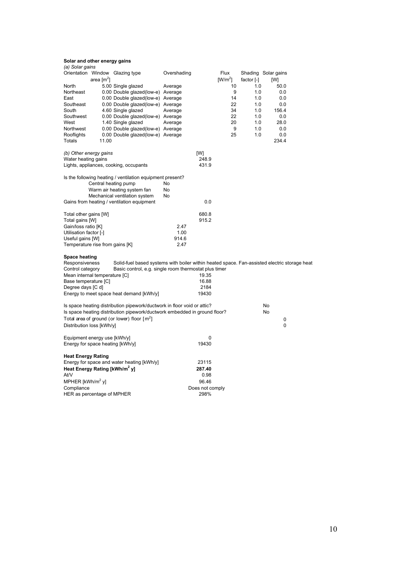| (a) Solar gains                           |              |                                                                                              |             |                         |           |            |                     |  |
|-------------------------------------------|--------------|----------------------------------------------------------------------------------------------|-------------|-------------------------|-----------|------------|---------------------|--|
|                                           |              | Orientation Window Glazing type                                                              | Overshading |                         | Flux      |            | Shading Solar gains |  |
|                                           | area $[m^2]$ |                                                                                              |             |                         | $[W/m^2]$ | factor [-] | [W]                 |  |
| North                                     |              | 5.00 Single glazed                                                                           | Average     |                         | 10        | 1.0        | 50.0                |  |
| Northeast                                 |              | 0.00 Double glazed(low-e) Average                                                            |             |                         | 9         | 1.0        | 0.0                 |  |
| East                                      |              | 0.00 Double glazed(low-e) Average                                                            |             |                         | 14        | 1.0        | 0.0                 |  |
| Southeast                                 |              | 0.00 Double glazed(low-e) Average                                                            |             |                         | 22        | 1.0        | 0.0                 |  |
| South                                     |              | 4.60 Single glazed                                                                           | Average     |                         | 34        | 1.0        | 156.4               |  |
| Southwest                                 |              | 0.00 Double glazed(low-e) Average                                                            |             |                         | 22        | 1.0        | 0.0                 |  |
| West                                      |              | 1.40 Single glazed                                                                           | Average     |                         | 20        | 1.0        | 28.0                |  |
| Northwest                                 |              | 0.00 Double glazed(low-e) Average                                                            |             |                         | 9         | 1.0        | 0.0                 |  |
| Rooflights                                |              | 0.00 Double glazed(low-e) Average                                                            |             |                         | 25        | 1.0        | 0.0                 |  |
| Totals                                    | 11.00        |                                                                                              |             |                         |           |            | 234.4               |  |
|                                           |              |                                                                                              |             |                         |           |            |                     |  |
| (b) Other energy gains                    |              |                                                                                              |             | [W]                     |           |            |                     |  |
| Water heating gains                       |              |                                                                                              |             | 248.9                   |           |            |                     |  |
|                                           |              | Lights, appliances, cooking, occupants                                                       |             | 431.9                   |           |            |                     |  |
|                                           |              |                                                                                              |             |                         |           |            |                     |  |
|                                           |              | Is the following heating / ventilation equipment present?                                    |             |                         |           |            |                     |  |
|                                           |              | Central heating pump                                                                         | No          |                         |           |            |                     |  |
|                                           |              | Warm air heating system fan                                                                  | No          |                         |           |            |                     |  |
|                                           |              | Mechanical ventilation system                                                                | No          |                         |           |            |                     |  |
|                                           |              | Gains from heating / ventilation equipment                                                   |             | 0.0                     |           |            |                     |  |
|                                           |              |                                                                                              |             |                         |           |            |                     |  |
| Total other gains [W]                     |              |                                                                                              |             | 680.8                   |           |            |                     |  |
| Total gains [W]                           |              |                                                                                              |             | 915.2                   |           |            |                     |  |
| Gain/loss ratio [K]                       |              |                                                                                              | 2.47        |                         |           |            |                     |  |
| Utilisation factor [-]                    |              |                                                                                              | 1.00        |                         |           |            |                     |  |
| Useful gains [W]                          |              |                                                                                              | 914.6       |                         |           |            |                     |  |
| Temperature rise from gains [K]           |              |                                                                                              | 2.47        |                         |           |            |                     |  |
|                                           |              |                                                                                              |             |                         |           |            |                     |  |
| <b>Space heating</b>                      |              |                                                                                              |             |                         |           |            |                     |  |
| Responsiveness                            |              | Solid-fuel based systems with boiler within heated space. Fan-assisted electric storage heat |             |                         |           |            |                     |  |
| Control category                          |              | Basic control, e.g. single room thermostat plus timer                                        |             |                         |           |            |                     |  |
| Mean internal temperature [C]             |              |                                                                                              |             | 19.35                   |           |            |                     |  |
| Base temperature [C]                      |              |                                                                                              |             | 16.88                   |           |            |                     |  |
| Degree days [C d]                         |              |                                                                                              |             | 2184                    |           |            |                     |  |
|                                           |              | Energy to meet space heat demand [kWh/y]                                                     |             | 19430                   |           |            |                     |  |
|                                           |              |                                                                                              |             |                         |           |            |                     |  |
|                                           |              | Is space heating distribution pipework/ductwork in floor void or attic?                      |             |                         |           |            | No                  |  |
|                                           |              | Is space heating distribution pipework/ductwork embedded in ground floor?                    |             |                         |           |            | No                  |  |
|                                           |              | Total area of ground (or lower) floor $\lceil m^2 \rceil$                                    |             |                         |           |            | 0                   |  |
| Distribution loss [kWh/y]                 |              |                                                                                              |             |                         |           |            | 0                   |  |
|                                           |              |                                                                                              |             |                         |           |            |                     |  |
| Equipment energy use [kWh/y]              |              |                                                                                              |             | 0                       |           |            |                     |  |
| Energy for space heating [kWh/y]          |              |                                                                                              |             | 19430                   |           |            |                     |  |
|                                           |              |                                                                                              |             |                         |           |            |                     |  |
| <b>Heat Energy Rating</b>                 |              |                                                                                              |             |                         |           |            |                     |  |
|                                           |              | Energy for space and water heating [kWh/y]                                                   |             | 23115                   |           |            |                     |  |
| Heat Energy Rating [kWh/m <sup>2</sup> y] |              |                                                                                              |             | 287.40                  |           |            |                     |  |
| At/V                                      |              |                                                                                              |             | 0.98                    |           |            |                     |  |
| MPHER $[kWh/m2$ yl                        |              |                                                                                              |             | 96.46                   |           |            |                     |  |
|                                           |              |                                                                                              |             |                         |           |            |                     |  |
| Compliance                                |              |                                                                                              |             | Does not comply<br>298% |           |            |                     |  |
| HER as percentage of MPHER                |              |                                                                                              |             |                         |           |            |                     |  |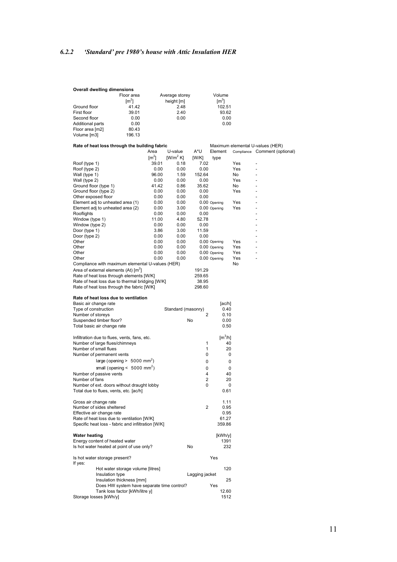## <span id="page-11-0"></span>*6.2.2 'Standard' pre 1980's house with Attic Insulation HER*

| <b>Overall dwelling dimensions</b> |               |                |                 |  |  |  |
|------------------------------------|---------------|----------------|-----------------|--|--|--|
|                                    | Floor area    | Average storey | Volume          |  |  |  |
|                                    | $\text{Im}^2$ | height [m]     | $\mathsf{Im}^3$ |  |  |  |
| Ground floor                       | 41.42         | 2.48           | 102.51          |  |  |  |
| First floor                        | 39.01         | 2.40           | 93.62           |  |  |  |
| Second floor                       | 0.00          | 0.00           | 0.00            |  |  |  |
| <b>Additional parts</b>            | 0.00          |                | 0.00            |  |  |  |
| Floor area [m2]                    | 80.43         |                |                 |  |  |  |
| Volume [m3]                        | 196.13        |                |                 |  |  |  |

| Rate of heat loss through the building fabric      | Area          | U-value            | A*U            | Element              |     | Maximum elemental U-values (HER)<br>Compliance Comment (optional) |
|----------------------------------------------------|---------------|--------------------|----------------|----------------------|-----|-------------------------------------------------------------------|
|                                                    | $\text{Im}^2$ | $[W/m^2 K]$        | [WWK]          | type                 |     |                                                                   |
|                                                    | 39.01         | 0.18               | 7.02           |                      | Yes |                                                                   |
| Roof (type 1)<br>Roof (type 2)                     | 0.00          | 0.00               | 0.00           |                      | Yes |                                                                   |
| Wall (type 1)                                      | 96.00         | 1.59               | 152.64         |                      | No  |                                                                   |
| Wall (type 2)                                      | 0.00          | 0.00               | 0.00           |                      | Yes |                                                                   |
| Ground floor (type 1)                              | 41.42         | 0.86               | 35.62          |                      | No  |                                                                   |
| Ground floor (type 2)                              | 0.00          | 0.00               | 0.00           |                      | Yes |                                                                   |
| Other exposed floor                                | 0.00          | 0.00               | 0.00           |                      |     |                                                                   |
| Element adj to unheated area (1)                   | 0.00          | 0.00               |                | 0.00 Opening         | Yes |                                                                   |
| Element adj to unheated area (2)                   | 0.00          | 3.00               |                | 0.00 Opening         | Yes |                                                                   |
| Rooflights                                         | 0.00          | 0.00               | 0.00           |                      |     |                                                                   |
| Window (type 1)                                    | 11.00         | 4.80               | 52.78          |                      |     |                                                                   |
| Window (type 2)                                    | 0.00          | 0.00               | 0.00           |                      |     |                                                                   |
| Door (type 1)                                      | 3.86          | 3.00               | 11.59          |                      |     |                                                                   |
| Door (type 2)                                      | 0.00          | 0.00               | 0.00           |                      |     |                                                                   |
| Other                                              | 0.00          | 0.00               |                | 0.00 Opening         | Yes |                                                                   |
| Other                                              | 0.00          | 0.00               |                | 0.00 Opening         | Yes |                                                                   |
| Other                                              | 0.00          | 0.00               |                | 0.00 Opening         | Yes |                                                                   |
| Other                                              | 0.00          | 0.00               |                | 0.00 Opening         | Yes | $\overline{a}$                                                    |
| Compliance with maximum elemental U-values (HER)   |               |                    |                |                      | No  |                                                                   |
| Area of external elements (At) [m <sup>2</sup> ]   |               |                    | 191.29         |                      |     |                                                                   |
| Rate of heat loss through elements [W/K]           |               |                    | 259.65         |                      |     |                                                                   |
| Rate of heat loss due to thermal bridging [W/K]    |               |                    | 38.95          |                      |     |                                                                   |
| Rate of heat loss through the fabric [W/K]         |               |                    | 298.60         |                      |     |                                                                   |
|                                                    |               |                    |                |                      |     |                                                                   |
| Rate of heat loss due to ventilation               |               |                    |                |                      |     |                                                                   |
| Basic air change rate                              |               |                    |                | [ac/h]               |     |                                                                   |
| Type of construction                               |               | Standard (masonry) |                | 0.40                 |     |                                                                   |
| Number of storeys                                  |               |                    | 2              | 0.10                 |     |                                                                   |
| Suspended timber floor?                            |               |                    | No             | 0.00                 |     |                                                                   |
| Total basic air change rate                        |               |                    |                | 0.50                 |     |                                                                   |
| Infiltration due to flues, vents, fans, etc.       |               |                    |                | $\mathrm{[m^{3}/h]}$ |     |                                                                   |
| Number of large flues/chimneys                     |               |                    | 1              | 40                   |     |                                                                   |
| Number of small flues                              |               |                    | 1              | 20                   |     |                                                                   |
| Number of permanent vents                          |               |                    | 0              | 0                    |     |                                                                   |
| large (opening $> 5000$ mm <sup>2</sup> )          |               |                    |                |                      |     |                                                                   |
|                                                    |               |                    | 0              | 0                    |     |                                                                   |
| small (opening $< 5000$ mm <sup>2</sup> )          |               |                    | 0              | 0                    |     |                                                                   |
| Number of passive vents                            |               |                    | $\overline{4}$ | 40                   |     |                                                                   |
| Number of fans                                     |               |                    | 2              | 20                   |     |                                                                   |
| Number of ext. doors without draught lobby         |               |                    | 0              | 0                    |     |                                                                   |
| Total due to flues, vents, etc. [ac/h]             |               |                    |                | 0.61                 |     |                                                                   |
| Gross air change rate                              |               |                    |                | 1.11                 |     |                                                                   |
| Number of sides sheltered                          |               |                    | 2              | 0.95                 |     |                                                                   |
| Effective air change rate                          |               |                    |                | 0.95                 |     |                                                                   |
| Rate of heat loss due to ventilation [W/K]         |               |                    |                | 61.27                |     |                                                                   |
| Specific heat loss - fabric and infiltration [W/K] |               |                    |                | 359.86               |     |                                                                   |
|                                                    |               |                    |                |                      |     |                                                                   |
| <b>Water heating</b>                               |               |                    |                | [kWh/y]              |     |                                                                   |
| Energy content of heated water                     |               |                    |                | 1391                 |     |                                                                   |
| Is hot water heated at point of use only?          |               |                    | No             | 232                  |     |                                                                   |
| Is hot water storage present?                      |               |                    |                | Yes                  |     |                                                                   |
| If yes:                                            |               |                    |                |                      |     |                                                                   |
| Hot water storage volume [litres]                  |               |                    |                | 120                  |     |                                                                   |
| Insulation type                                    |               |                    | Lagging jacket |                      |     |                                                                   |
| Insulation thickness [mm]                          |               |                    |                | 25                   |     |                                                                   |
| Does HW system have separate time control?         |               |                    |                | Yes                  |     |                                                                   |
| Tank loss factor [kWh/litre y]                     |               |                    |                | 12.60                |     |                                                                   |
| Storage losses [kWh/y]                             |               |                    |                | 1512                 |     |                                                                   |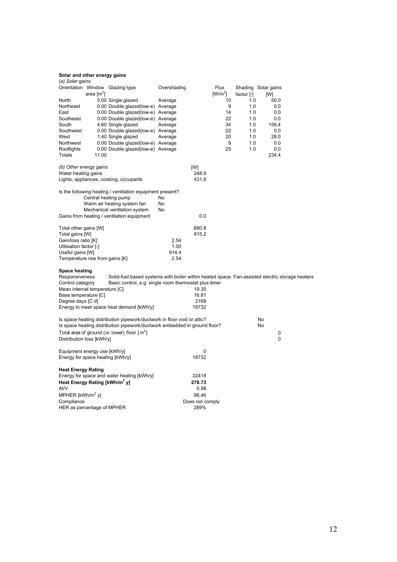| (a) Solar gains                           |              |                                                                                                 |             |                 |           |            |                     |  |
|-------------------------------------------|--------------|-------------------------------------------------------------------------------------------------|-------------|-----------------|-----------|------------|---------------------|--|
|                                           |              | Orientation Window Glazing type                                                                 | Overshading |                 | Flux      |            | Shading Solar gains |  |
|                                           | area $[m^2]$ |                                                                                                 |             |                 | $[W/m^2]$ | factor [-] | [W]                 |  |
| North                                     |              | 5.00 Single glazed                                                                              | Average     |                 | 10        | 1.0        | 50.0                |  |
| Northeast                                 |              | 0.00 Double glazed(low-e) Average                                                               |             |                 | 9         | 1.0        | 0.0                 |  |
| East                                      |              | 0.00 Double glazed(low-e) Average                                                               |             |                 | 14        | 1.0        | 0.0                 |  |
| Southeast                                 |              | 0.00 Double glazed (low-e) Average                                                              |             |                 | 22        | 1.0        | 0.0                 |  |
| South                                     |              | 4.60 Single glazed                                                                              | Average     |                 | 34        | 1.0        | 156.4               |  |
| Southwest                                 |              | 0.00 Double glazed(low-e) Average                                                               |             |                 | 22        | 1.0        | 0.0                 |  |
| West                                      |              | 1.40 Single glazed                                                                              | Average     |                 | 20        | 1.0        | 28.0                |  |
| Northwest                                 |              | 0.00 Double glazed(low-e) Average                                                               |             |                 | 9         | 1.0        | 0.0                 |  |
| Rooflights                                |              | 0.00 Double glazed(low-e) Average                                                               |             |                 | 25        | 1.0        | 0.0                 |  |
| Totals                                    | 11.00        |                                                                                                 |             |                 |           |            | 234.4               |  |
| (b) Other energy gains                    |              |                                                                                                 |             | [W]             |           |            |                     |  |
| Water heating gains                       |              |                                                                                                 |             | 248.9           |           |            |                     |  |
|                                           |              | Lights, appliances, cooking, occupants                                                          |             | 431.9           |           |            |                     |  |
|                                           |              | Is the following heating / ventilation equipment present?                                       |             |                 |           |            |                     |  |
|                                           |              | Central heating pump                                                                            | No          |                 |           |            |                     |  |
|                                           |              | Warm air heating system fan                                                                     | No          |                 |           |            |                     |  |
|                                           |              | Mechanical ventilation system                                                                   | No          |                 |           |            |                     |  |
|                                           |              | Gains from heating / ventilation equipment                                                      |             | 0.0             |           |            |                     |  |
| Total other gains [W]                     |              |                                                                                                 |             | 680.8           |           |            |                     |  |
| Total gains [W]                           |              |                                                                                                 |             | 915.2           |           |            |                     |  |
| Gain/loss ratio [K]                       |              |                                                                                                 | 2.54        |                 |           |            |                     |  |
| Utilisation factor [-]                    |              |                                                                                                 | 1.00        |                 |           |            |                     |  |
| Useful gains [W]                          |              |                                                                                                 | 914.4       |                 |           |            |                     |  |
| Temperature rise from gains [K]           |              |                                                                                                 | 2.54        |                 |           |            |                     |  |
| <b>Space heating</b>                      |              |                                                                                                 |             |                 |           |            |                     |  |
| Responsiveness                            |              | Solid-fuel based systems with boiler within heated space. Fan-assisted electric storage heaters |             |                 |           |            |                     |  |
| Control category                          |              | Basic control, e.g. single room thermostat plus timer                                           |             |                 |           |            |                     |  |
| Mean internal temperature [C]             |              |                                                                                                 |             | 19.35           |           |            |                     |  |
| Base temperature [C]                      |              |                                                                                                 |             | 16.81           |           |            |                     |  |
| Degree days [C d]                         |              |                                                                                                 |             | 2169            |           |            |                     |  |
|                                           |              | Energy to meet space heat demand [kWh/y]                                                        |             | 18732           |           |            |                     |  |
|                                           |              | Is space heating distribution pipework/ductwork in floor void or attic?                         |             |                 |           |            | No                  |  |
|                                           |              | Is space heating distribution pipework/ductwork embedded in ground floor?                       |             |                 |           |            | No                  |  |
|                                           |              | Total area of ground (or lower) floor $[m^2]$                                                   |             |                 |           |            | 0                   |  |
| Distribution loss [kWh/y]                 |              |                                                                                                 |             |                 |           |            | 0                   |  |
| Equipment energy use [kWh/y]              |              |                                                                                                 |             | 0               |           |            |                     |  |
| Energy for space heating [kWh/y]          |              |                                                                                                 |             | 18732           |           |            |                     |  |
| <b>Heat Energy Rating</b>                 |              |                                                                                                 |             |                 |           |            |                     |  |
|                                           |              | Energy for space and water heating [kWh/y]                                                      |             | 22418           |           |            |                     |  |
| Heat Energy Rating [kWh/m <sup>2</sup> y] |              |                                                                                                 |             | 278.73          |           |            |                     |  |
| At/V                                      |              |                                                                                                 |             | 0.98            |           |            |                     |  |
| MPHER [kWh/m <sup>2</sup> y]              |              |                                                                                                 |             | 96.46           |           |            |                     |  |
| Compliance                                |              |                                                                                                 |             | Does not comply |           |            |                     |  |
| HER as percentage of MPHER                |              |                                                                                                 |             | 289%            |           |            |                     |  |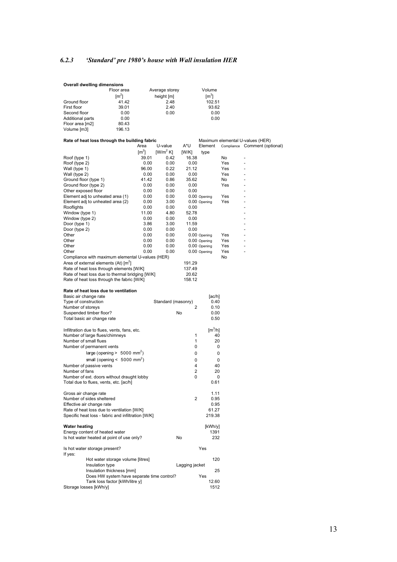## <span id="page-13-0"></span>*6.2.3 'Standard' pre 1980's house with Wall insulation HER*

|                                                | <b>Overall dwelling dimensions</b>                                             |                     |                     |                    |                |                        |           |                                  |
|------------------------------------------------|--------------------------------------------------------------------------------|---------------------|---------------------|--------------------|----------------|------------------------|-----------|----------------------------------|
|                                                |                                                                                | Floor area          |                     | Average storey     |                | Volume                 |           |                                  |
|                                                |                                                                                | $\lceil m^2 \rceil$ |                     | height [m]         |                | $\lceil m^3 \rceil$    |           |                                  |
| Ground floor                                   |                                                                                | 41.42               |                     | 2.48               |                | 102.51                 |           |                                  |
| First floor                                    |                                                                                | 39.01               |                     | 2.40               |                | 93.62                  |           |                                  |
| Second floor                                   |                                                                                | 0.00                |                     | 0.00               |                | 0.00                   |           |                                  |
| <b>Additional parts</b>                        |                                                                                | 0.00                |                     |                    |                | 0.00                   |           |                                  |
| Floor area [m2]                                |                                                                                | 80.43               |                     |                    |                |                        |           |                                  |
| Volume [m3]                                    |                                                                                | 196.13              |                     |                    |                |                        |           |                                  |
|                                                | Rate of heat loss through the building fabric                                  |                     |                     |                    |                |                        |           | Maximum elemental U-values (HER) |
|                                                |                                                                                |                     | Area                | U-value            | A*U            | Element                |           | Compliance Comment (optional)    |
|                                                |                                                                                |                     | $\lceil m^2 \rceil$ | $[W/m^2 K]$        | [W/K]          | type                   |           |                                  |
| Roof (type 1)                                  |                                                                                |                     | 39.01               | 0.42               | 16.38          |                        | No        |                                  |
| Roof (type 2)                                  |                                                                                |                     | 0.00                | 0.00               | 0.00           |                        | Yes       |                                  |
| Wall (type 1)                                  |                                                                                |                     | 96.00               | 0.22               | 21.12          |                        | Yes       |                                  |
| Wall (type 2)                                  |                                                                                |                     | 0.00<br>41.42       | 0.00<br>0.86       | 0.00<br>35.62  |                        | Yes<br>No |                                  |
| Ground floor (type 1)<br>Ground floor (type 2) |                                                                                |                     | 0.00                | 0.00               | 0.00           |                        | Yes       |                                  |
| Other exposed floor                            |                                                                                |                     | 0.00                | 0.00               | 0.00           |                        |           |                                  |
|                                                | Element adj to unheated area (1)                                               |                     | 0.00                | 0.00               |                | 0.00 Opening           | Yes       |                                  |
|                                                | Element adj to unheated area (2)                                               |                     | 0.00                | 3.00               |                | 0.00 Opening           | Yes       |                                  |
| Rooflights                                     |                                                                                |                     | 0.00                | 0.00               | 0.00           |                        |           |                                  |
| Window (type 1)                                |                                                                                |                     | 11.00               | 4.80               | 52.78          |                        |           |                                  |
| Window (type 2)                                |                                                                                |                     | 0.00                | 0.00               | 0.00           |                        |           |                                  |
| Door (type 1)                                  |                                                                                |                     | 3.86                | 3.00               | 11.59          |                        |           |                                  |
| Door (type 2)                                  |                                                                                |                     | 0.00                | 0.00               | 0.00           |                        |           |                                  |
| Other                                          |                                                                                |                     | 0.00                | 0.00               |                | 0.00 Opening           | Yes       |                                  |
| Other                                          |                                                                                |                     | 0.00                | 0.00               |                | 0.00 Opening           | Yes       |                                  |
| Other                                          |                                                                                |                     | 0.00                | 0.00               |                | 0.00 Opening           | Yes       | $\overline{a}$                   |
| Other                                          |                                                                                |                     | 0.00                | 0.00               |                | 0.00 Opening           | Yes       |                                  |
|                                                | Compliance with maximum elemental U-values (HER)                               |                     |                     |                    |                |                        | No        |                                  |
|                                                | Area of external elements (At) [m <sup>2</sup> ]                               |                     |                     |                    | 191.29         |                        |           |                                  |
|                                                | Rate of heat loss through elements [W/K]                                       |                     |                     |                    | 137.49         |                        |           |                                  |
|                                                | Rate of heat loss due to thermal bridging [W/K]                                |                     |                     |                    | 20.62          |                        |           |                                  |
|                                                | Rate of heat loss through the fabric [W/K]                                     |                     |                     |                    | 158.12         |                        |           |                                  |
|                                                | Rate of heat loss due to ventilation                                           |                     |                     |                    |                |                        |           |                                  |
|                                                | Basic air change rate                                                          |                     |                     |                    |                | [ac/h]                 |           |                                  |
| Type of construction                           |                                                                                |                     |                     | Standard (masonry) |                | 0.40                   |           |                                  |
| Number of storeys                              |                                                                                |                     |                     |                    | 2              | 0.10                   |           |                                  |
|                                                | Suspended timber floor?                                                        |                     |                     |                    | No             | 0.00                   |           |                                  |
|                                                | Total basic air change rate                                                    |                     |                     |                    |                | 0.50                   |           |                                  |
|                                                |                                                                                |                     |                     |                    |                | $\text{[m}^3/\text{h}$ |           |                                  |
|                                                | Infiltration due to flues, vents, fans, etc.<br>Number of large flues/chimneys |                     |                     |                    | 1              | 40                     |           |                                  |
|                                                | Number of small flues                                                          |                     |                     |                    | $\mathbf{1}$   | 20                     |           |                                  |
|                                                | Number of permanent vents                                                      |                     |                     |                    | 0              | 0                      |           |                                  |
|                                                | large (opening $> 5000$ mm <sup>2</sup> )                                      |                     |                     |                    | 0              | 0                      |           |                                  |
|                                                | small (opening $< 5000$ mm <sup>2</sup> )                                      |                     |                     |                    |                |                        |           |                                  |
|                                                |                                                                                |                     |                     |                    | 0<br>4         | 0<br>40                |           |                                  |
| Number of fans                                 | Number of passive vents                                                        |                     |                     |                    | $\overline{2}$ | 20                     |           |                                  |
|                                                | Number of ext. doors without draught lobby                                     |                     |                     |                    | 0              | 0                      |           |                                  |
|                                                | Total due to flues, vents, etc. [ac/h]                                         |                     |                     |                    |                | 0.61                   |           |                                  |
|                                                |                                                                                |                     |                     |                    |                |                        |           |                                  |
|                                                | Gross air change rate                                                          |                     |                     |                    |                | 1.11                   |           |                                  |
|                                                | Number of sides sheltered                                                      |                     |                     |                    | 2              | 0.95                   |           |                                  |
|                                                | Effective air change rate                                                      |                     |                     |                    |                | 0.95                   |           |                                  |
|                                                | Rate of heat loss due to ventilation [W/K]                                     |                     |                     |                    |                | 61.27                  |           |                                  |
|                                                | Specific heat loss - fabric and infiltration [W/K]                             |                     |                     |                    |                | 219.38                 |           |                                  |
| <b>Water heating</b>                           |                                                                                |                     |                     |                    |                | [kWh/y]                |           |                                  |
|                                                | Energy content of heated water                                                 |                     |                     |                    |                | 1391                   |           |                                  |
|                                                | Is hot water heated at point of use only?                                      |                     |                     |                    | No             | 232                    |           |                                  |
|                                                | Is hot water storage present?                                                  |                     |                     |                    |                | Yes                    |           |                                  |
| If yes:                                        |                                                                                |                     |                     |                    |                |                        |           |                                  |
|                                                | Hot water storage volume [litres]                                              |                     |                     |                    |                | 120                    |           |                                  |
|                                                | Insulation type                                                                |                     |                     |                    | Lagging jacket |                        |           |                                  |
|                                                | Insulation thickness [mm]<br>Does HW system have separate time control?        |                     |                     |                    |                | 25                     |           |                                  |
|                                                | Tank loss factor [kWh/litre y]                                                 |                     |                     |                    |                | Yes<br>12.60           |           |                                  |
|                                                | Storage losses [kWh/y]                                                         |                     |                     |                    |                | 1512                   |           |                                  |
|                                                |                                                                                |                     |                     |                    |                |                        |           |                                  |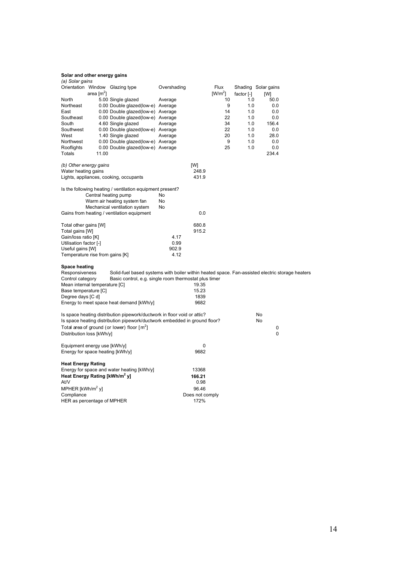| (a) Solar gains                           |              |                                                                                                 |             |                 |           |              |                     |  |
|-------------------------------------------|--------------|-------------------------------------------------------------------------------------------------|-------------|-----------------|-----------|--------------|---------------------|--|
|                                           |              | Orientation Window Glazing type                                                                 | Overshading |                 | Flux      |              | Shading Solar gains |  |
|                                           | area $[m^2]$ |                                                                                                 |             |                 | $[W/m^2]$ | factor $[-]$ | [W]                 |  |
| North                                     |              | 5.00 Single glazed                                                                              | Average     |                 | 10        | 1.0          | 50.0                |  |
| Northeast                                 |              | 0.00 Double glazed(low-e) Average                                                               |             |                 | 9         | 1.0          | 0.0                 |  |
| East                                      |              | 0.00 Double glazed(low-e) Average                                                               |             |                 | 14        | 1.0          | 0.0                 |  |
| Southeast                                 |              | 0.00 Double glazed(low-e) Average                                                               |             |                 | 22        | 1.0          | 0.0                 |  |
| South                                     |              | 4.60 Single glazed                                                                              | Average     |                 | 34        | 1.0          | 156.4               |  |
| Southwest                                 |              | 0.00 Double glazed(low-e) Average                                                               |             |                 | 22        | 1.0          | 0.0                 |  |
| West                                      |              | 1.40 Single glazed                                                                              | Average     |                 | 20        | 1.0          | 28.0                |  |
| Northwest                                 |              | 0.00 Double glazed(low-e) Average                                                               |             |                 | 9         | 1.0          | 0.0                 |  |
| Rooflights                                |              | 0.00 Double glazed(low-e) Average                                                               |             |                 | 25        | 1.0          | 0.0                 |  |
| Totals                                    | 11.00        |                                                                                                 |             |                 |           |              | 234.4               |  |
| (b) Other energy gains                    |              |                                                                                                 |             | [W]             |           |              |                     |  |
| Water heating gains                       |              |                                                                                                 |             | 248.9           |           |              |                     |  |
|                                           |              | Lights, appliances, cooking, occupants                                                          |             | 431.9           |           |              |                     |  |
|                                           |              | Is the following heating / ventilation equipment present?                                       |             |                 |           |              |                     |  |
|                                           |              | Central heating pump                                                                            | No          |                 |           |              |                     |  |
|                                           |              | Warm air heating system fan                                                                     | No          |                 |           |              |                     |  |
|                                           |              | Mechanical ventilation system                                                                   | No          |                 |           |              |                     |  |
|                                           |              | Gains from heating / ventilation equipment                                                      |             | 0.0             |           |              |                     |  |
| Total other gains [W]                     |              |                                                                                                 |             | 680.8           |           |              |                     |  |
| Total gains [W]                           |              |                                                                                                 |             | 915.2           |           |              |                     |  |
| Gain/loss ratio [K]                       |              |                                                                                                 | 4.17        |                 |           |              |                     |  |
| Utilisation factor [-]                    |              |                                                                                                 | 0.99        |                 |           |              |                     |  |
| Useful gains [W]                          |              |                                                                                                 | 902.9       |                 |           |              |                     |  |
| Temperature rise from gains [K]           |              |                                                                                                 | 4.12        |                 |           |              |                     |  |
| <b>Space heating</b>                      |              |                                                                                                 |             |                 |           |              |                     |  |
| Responsiveness                            |              | Solid-fuel based systems with boiler within heated space. Fan-assisted electric storage heaters |             |                 |           |              |                     |  |
| Control category                          |              | Basic control, e.g. single room thermostat plus timer                                           |             |                 |           |              |                     |  |
| Mean internal temperature [C]             |              |                                                                                                 |             | 19.35           |           |              |                     |  |
| Base temperature [C]                      |              |                                                                                                 |             | 15.23           |           |              |                     |  |
| Degree days [C d]                         |              |                                                                                                 |             | 1839            |           |              |                     |  |
|                                           |              | Energy to meet space heat demand [kWh/y]                                                        |             | 9682            |           |              |                     |  |
|                                           |              | Is space heating distribution pipework/ductwork in floor void or attic?                         |             |                 |           |              | No                  |  |
|                                           |              | Is space heating distribution pipework/ductwork embedded in ground floor?                       |             |                 |           |              | No                  |  |
|                                           |              | Total area of ground (or lower) floor $[m^2]$                                                   |             |                 |           |              | 0                   |  |
| Distribution loss [kWh/y]                 |              |                                                                                                 |             |                 |           |              | 0                   |  |
| Equipment energy use [kWh/y]              |              |                                                                                                 |             | 0               |           |              |                     |  |
| Energy for space heating [kWh/y]          |              |                                                                                                 |             | 9682            |           |              |                     |  |
| <b>Heat Energy Rating</b>                 |              |                                                                                                 |             |                 |           |              |                     |  |
|                                           |              | Energy for space and water heating [kWh/y]                                                      |             | 13368           |           |              |                     |  |
| Heat Energy Rating [kWh/m <sup>2</sup> y] |              |                                                                                                 |             | 166.21          |           |              |                     |  |
| At/V                                      |              |                                                                                                 |             | 0.98            |           |              |                     |  |
| MPHER [kWh/m <sup>2</sup> y]              |              |                                                                                                 |             | 96.46           |           |              |                     |  |
| Compliance                                |              |                                                                                                 |             | Does not comply |           |              |                     |  |
| HER as percentage of MPHER                |              |                                                                                                 |             | 172%            |           |              |                     |  |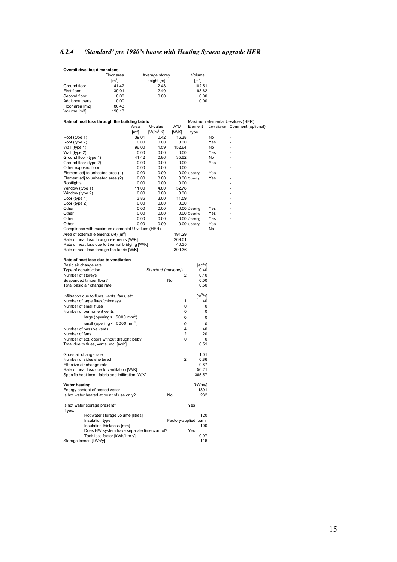## <span id="page-15-0"></span>*6.2.4 'Standard' pre 1980's house with Heating System upgrade HER*

| <b>Overall dwelling dimensions</b>                     |                                                                                               |                     |                    |                 |                                    |            |                                                                   |  |
|--------------------------------------------------------|-----------------------------------------------------------------------------------------------|---------------------|--------------------|-----------------|------------------------------------|------------|-------------------------------------------------------------------|--|
|                                                        | Floor area                                                                                    |                     | Average storey     |                 | Volume                             |            |                                                                   |  |
| Ground floor                                           | $\lceil m^2 \rceil$<br>41.42                                                                  |                     | height [m]<br>2.48 |                 | $\lceil m^3 \rceil$<br>102.51      |            |                                                                   |  |
| First floor                                            | 39.01                                                                                         |                     | 2.40               |                 | 93.62                              |            |                                                                   |  |
| Second floor                                           | 0.00                                                                                          |                     | 0.00               |                 | 0.00                               |            |                                                                   |  |
| Additional parts                                       | 0.00                                                                                          |                     |                    |                 | 0.00                               |            |                                                                   |  |
| Floor area [m2]                                        | 80.43                                                                                         |                     |                    |                 |                                    |            |                                                                   |  |
| Volume [m3]                                            | 196.13                                                                                        |                     |                    |                 |                                    |            |                                                                   |  |
|                                                        | Rate of heat loss through the building fabric                                                 | Area                | U-value            | A*U             | Element                            |            | Maximum elemental U-values (HER)<br>Compliance Comment (optional) |  |
|                                                        |                                                                                               | $\lceil m^2 \rceil$ | $[W/m^2 K]$        | [W/K]           | type                               |            |                                                                   |  |
| Roof (type 1)                                          |                                                                                               | 39.01               | 0.42               | 16.38           |                                    | No         | ٠                                                                 |  |
| Roof (type 2)<br>Wall (type 1)                         |                                                                                               | 0.00<br>96.00       | 0.00<br>1.59       | 0.00<br>152.64  |                                    | Yes<br>No  | ÷,<br>٠                                                           |  |
| Wall (type 2)                                          |                                                                                               | 0.00                | 0.00               | 0.00            |                                    | Yes        |                                                                   |  |
| Ground floor (type 1)                                  |                                                                                               | 41.42               | 0.86               | 35.62           |                                    | No         | ä,                                                                |  |
| Ground floor (type 2)                                  |                                                                                               | 0.00                | 0.00               | 0.00            |                                    | Yes        | ä,                                                                |  |
| Other exposed floor                                    |                                                                                               | 0.00                | 0.00               | 0.00            |                                    |            |                                                                   |  |
|                                                        | Element adj to unheated area (1)                                                              | 0.00<br>0.00        | 0.00<br>3.00       |                 | 0.00 Opening                       | Yes<br>Yes |                                                                   |  |
| Rooflights                                             | Element adj to unheated area (2)                                                              | 0.00                | 0.00               | 0.00            | 0.00 Opening                       |            |                                                                   |  |
| Window (type 1)                                        |                                                                                               | 11.00               | 4.80               | 52.78           |                                    |            |                                                                   |  |
| Window (type 2)                                        |                                                                                               | 0.00                | 0.00               | 0.00            |                                    |            |                                                                   |  |
| Door (type 1)                                          |                                                                                               | 3.86                | 3.00               | 11.59           |                                    |            | ÷,                                                                |  |
| Door (type 2)                                          |                                                                                               | 0.00                | 0.00               | 0.00            |                                    |            | ٠                                                                 |  |
| Other<br>Other                                         |                                                                                               | 0.00<br>0.00        | 0.00<br>0.00       |                 | 0.00 Opening<br>0.00 Opening       | Yes<br>Yes | ÷.<br>٠                                                           |  |
| Other                                                  |                                                                                               | 0.00                | 0.00               |                 | 0.00 Opening                       | Yes        | ÷,                                                                |  |
| Other                                                  |                                                                                               | 0.00                | 0.00               |                 | 0.00 Opening                       | Yes        | ٠                                                                 |  |
|                                                        | Compliance with maximum elemental U-values (HER)                                              |                     |                    |                 |                                    | No         |                                                                   |  |
|                                                        | Area of external elements (At) [m <sup>2</sup> ]                                              |                     |                    | 191.29          |                                    |            |                                                                   |  |
|                                                        | Rate of heat loss through elements [W/K]                                                      |                     |                    | 269.01          |                                    |            |                                                                   |  |
|                                                        | Rate of heat loss due to thermal bridging [W/K]<br>Rate of heat loss through the fabric [W/K] |                     |                    | 40.35<br>309.36 |                                    |            |                                                                   |  |
|                                                        |                                                                                               |                     |                    |                 |                                    |            |                                                                   |  |
|                                                        |                                                                                               |                     |                    |                 |                                    |            |                                                                   |  |
|                                                        | Rate of heat loss due to ventilation                                                          |                     |                    |                 |                                    |            |                                                                   |  |
| Basic air change rate                                  |                                                                                               |                     |                    |                 | [ac/h]                             |            |                                                                   |  |
| Type of construction                                   |                                                                                               |                     | Standard (masonry) |                 | 0.40                               |            |                                                                   |  |
| Number of storeys                                      |                                                                                               |                     |                    | 2<br>No         | 0.10                               |            |                                                                   |  |
| Suspended timber floor?<br>Total basic air change rate |                                                                                               |                     |                    |                 | 0.00<br>0.50                       |            |                                                                   |  |
|                                                        |                                                                                               |                     |                    |                 |                                    |            |                                                                   |  |
|                                                        | Infiltration due to flues, vents, fans, etc.                                                  |                     |                    |                 | $\left[\text{m}^3/\text{h}\right]$ |            |                                                                   |  |
| Number of large flues/chimneys                         |                                                                                               |                     |                    | 1               | 40                                 |            |                                                                   |  |
| Number of small flues                                  |                                                                                               |                     |                    | 0<br>0          | 0                                  |            |                                                                   |  |
| Number of permanent vents                              |                                                                                               |                     |                    |                 | 0                                  |            |                                                                   |  |
|                                                        | large (opening $> 5000$ mm <sup>2</sup> )                                                     |                     |                    | 0               | 0                                  |            |                                                                   |  |
| Number of passive vents                                | small (opening $< 5000$ mm <sup>2</sup> )                                                     |                     |                    | 0<br>4          | 0<br>40                            |            |                                                                   |  |
| Number of fans                                         |                                                                                               |                     |                    | 2               | 20                                 |            |                                                                   |  |
|                                                        | Number of ext. doors without draught lobby                                                    |                     |                    | 0               | 0                                  |            |                                                                   |  |
|                                                        | Total due to flues, vents, etc. [ac/h]                                                        |                     |                    |                 | 0.51                               |            |                                                                   |  |
|                                                        |                                                                                               |                     |                    |                 | 1.01                               |            |                                                                   |  |
| Gross air change rate<br>Number of sides sheltered     |                                                                                               |                     |                    | 2               | 0.86                               |            |                                                                   |  |
| Effective air change rate                              |                                                                                               |                     |                    |                 | 0.87                               |            |                                                                   |  |
|                                                        | Rate of heat loss due to ventilation [W/K]                                                    |                     |                    |                 | 56.21                              |            |                                                                   |  |
|                                                        | Specific heat loss - fabric and infiltration [W/K]                                            |                     |                    |                 | 365.57                             |            |                                                                   |  |
| <b>Water heating</b>                                   |                                                                                               |                     |                    |                 | [kWh/y]                            |            |                                                                   |  |
| Energy content of heated water                         |                                                                                               |                     |                    |                 | 1391                               |            |                                                                   |  |
|                                                        | Is hot water heated at point of use only?                                                     |                     |                    | No              | 232                                |            |                                                                   |  |
| Is hot water storage present?<br>If yes:               |                                                                                               |                     |                    |                 | Yes                                |            |                                                                   |  |
|                                                        | Hot water storage volume [litres]                                                             |                     |                    |                 | 120                                |            |                                                                   |  |
|                                                        | Insulation type                                                                               |                     |                    |                 | Factory-applied foam               |            |                                                                   |  |
|                                                        | Insulation thickness [mm]                                                                     |                     |                    |                 | 100                                |            |                                                                   |  |
|                                                        | Does HW system have separate time control?<br>Tank loss factor [kWh/litre y]                  |                     |                    |                 | Yes<br>0.97                        |            |                                                                   |  |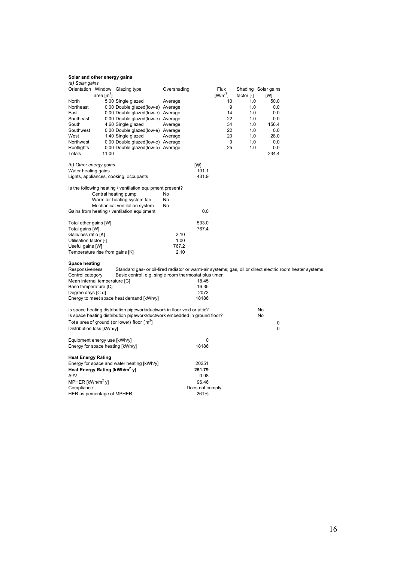| (a) Solar gains                                                                      |                                                       |                                                                                                          |  |
|--------------------------------------------------------------------------------------|-------------------------------------------------------|----------------------------------------------------------------------------------------------------------|--|
| Orientation Window Glazing type                                                      | Overshading                                           | Flux<br>Shading Solar gains                                                                              |  |
| area $\lceil m^2 \rceil$                                                             |                                                       | $[W/m^2]$<br>factor [-]<br>[W]                                                                           |  |
| North<br>5.00 Single glazed                                                          | Average                                               | 10<br>1.0<br>50.0                                                                                        |  |
| Northeast<br>0.00 Double glazed(low-e) Average                                       |                                                       | 9<br>1.0<br>0.0                                                                                          |  |
| 0.00 Double glazed(low-e) Average<br>East                                            |                                                       | 14<br>1.0<br>0.0                                                                                         |  |
| Southeast<br>0.00 Double glazed(low-e) Average                                       |                                                       | 22<br>1.0<br>0.0                                                                                         |  |
| South<br>4.60 Single glazed                                                          | Average                                               | 34<br>1.0<br>156.4                                                                                       |  |
| 0.00 Double glazed(low-e) Average<br>Southwest                                       |                                                       | 22<br>1.0<br>0.0                                                                                         |  |
| West<br>1.40 Single glazed<br>Northwest                                              | Average                                               | 20<br>1.0<br>28.0<br>9<br>1.0<br>0.0                                                                     |  |
| 0.00 Double glazed(low-e) Average<br>Rooflights<br>0.00 Double glazed(low-e) Average |                                                       | 25<br>1.0<br>0.0                                                                                         |  |
| <b>Totals</b><br>11.00                                                               |                                                       | 234.4                                                                                                    |  |
|                                                                                      |                                                       |                                                                                                          |  |
| (b) Other energy gains                                                               | [W]                                                   |                                                                                                          |  |
| Water heating gains                                                                  | 101.1                                                 |                                                                                                          |  |
| Lights, appliances, cooking, occupants                                               | 431.9                                                 |                                                                                                          |  |
|                                                                                      |                                                       |                                                                                                          |  |
| Is the following heating / ventilation equipment present?                            |                                                       |                                                                                                          |  |
| Central heating pump                                                                 | No<br>No                                              |                                                                                                          |  |
| Warm air heating system fan<br>Mechanical ventilation system                         | No                                                    |                                                                                                          |  |
| Gains from heating / ventilation equipment                                           | 0.0                                                   |                                                                                                          |  |
|                                                                                      |                                                       |                                                                                                          |  |
| Total other gains [W]                                                                | 533.0                                                 |                                                                                                          |  |
| Total gains [W]                                                                      | 767.4                                                 |                                                                                                          |  |
| Gain/loss ratio [K]                                                                  | 2.10                                                  |                                                                                                          |  |
| Utilisation factor [-]                                                               | 1.00                                                  |                                                                                                          |  |
| Useful gains [W]                                                                     | 767.2                                                 |                                                                                                          |  |
| Temperature rise from gains [K]                                                      | 2.10                                                  |                                                                                                          |  |
|                                                                                      |                                                       |                                                                                                          |  |
| <b>Space heating</b><br>Responsiveness                                               |                                                       | Standard gas- or oil-fired radiator or warm-air systems; gas, oil or direct electric room heater systems |  |
| Control category                                                                     | Basic control, e.g. single room thermostat plus timer |                                                                                                          |  |
| Mean internal temperature [C]                                                        | 18.45                                                 |                                                                                                          |  |
| Base temperature [C]                                                                 | 16.35                                                 |                                                                                                          |  |
| Degree days [C d]                                                                    | 2073                                                  |                                                                                                          |  |
| Energy to meet space heat demand [kWh/y]                                             | 18186                                                 |                                                                                                          |  |
|                                                                                      |                                                       |                                                                                                          |  |
| Is space heating distribution pipework/ductwork in floor void or attic?              |                                                       | No                                                                                                       |  |
| Is space heating distribution pipework/ductwork embedded in ground floor?            |                                                       | No                                                                                                       |  |
| Total area of ground (or lower) floor $\lceil m^2 \rceil$                            |                                                       | 0                                                                                                        |  |
| Distribution loss [kWh/y]                                                            |                                                       | 0                                                                                                        |  |
|                                                                                      | 0                                                     |                                                                                                          |  |
| Equipment energy use [kWh/y]<br>Energy for space heating [kWh/y]                     | 18186                                                 |                                                                                                          |  |
|                                                                                      |                                                       |                                                                                                          |  |
| <b>Heat Energy Rating</b>                                                            |                                                       |                                                                                                          |  |
| Energy for space and water heating [kWh/y]                                           | 20251                                                 |                                                                                                          |  |
| Heat Energy Rating [kWh/m <sup>2</sup> y]                                            | 251.79                                                |                                                                                                          |  |
| At/V                                                                                 | 0.98                                                  |                                                                                                          |  |
| MPHER [kWh/m <sup>2</sup> y]                                                         | 96.46                                                 |                                                                                                          |  |
| Compliance                                                                           | Does not comply                                       |                                                                                                          |  |
| HER as percentage of MPHER                                                           | 261%                                                  |                                                                                                          |  |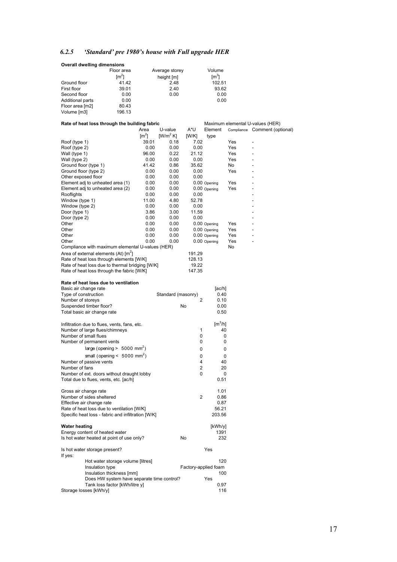## <span id="page-17-0"></span>*6.2.5 'Standard' pre 1980's house with Full upgrade HER*

|                                        | <b>Overall dwelling dimensions</b>                       |               |                      |                      |                              |            |                                                                   |
|----------------------------------------|----------------------------------------------------------|---------------|----------------------|----------------------|------------------------------|------------|-------------------------------------------------------------------|
|                                        | Floor area                                               |               | Average storey       |                      | Volume                       |            |                                                                   |
|                                        | $\lceil m^2 \rceil$                                      |               | height [m]           |                      | $\lceil m^3 \rceil$          |            |                                                                   |
| Ground floor<br>First floor            | 41.42<br>39.01                                           |               | 2.48<br>2.40         |                      | 102.51<br>93.62              |            |                                                                   |
| Second floor                           | 0.00                                                     |               | 0.00                 |                      | 0.00                         |            |                                                                   |
| Additional parts                       | 0.00                                                     |               |                      |                      | 0.00                         |            |                                                                   |
| Floor area [m2]                        | 80.43                                                    |               |                      |                      |                              |            |                                                                   |
| Volume [m3]                            | 196.13                                                   |               |                      |                      |                              |            |                                                                   |
|                                        | Rate of heat loss through the building fabric            | Area          | U-value              | A*U                  | Element                      |            | Maximum elemental U-values (HER)<br>Compliance Comment (optional) |
|                                        |                                                          | $\text{Im}^2$ | [W/m <sup>2</sup> K] | [W/K]                | type                         |            |                                                                   |
| Roof (type 1)                          |                                                          | 39.01         | 0.18                 | 7.02                 |                              | Yes        | $\overline{a}$                                                    |
| Roof (type 2)                          |                                                          | 0.00          | 0.00                 | 0.00                 |                              | Yes        |                                                                   |
| Wall (type 1)                          |                                                          | 96.00<br>0.00 | 0.22                 | 21.12                |                              | Yes<br>Yes |                                                                   |
| Wall (type 2)<br>Ground floor (type 1) |                                                          | 41.42         | 0.00<br>0.86         | 0.00<br>35.62        |                              | No         | ۷                                                                 |
| Ground floor (type 2)                  |                                                          | 0.00          | 0.00                 | 0.00                 |                              | Yes        |                                                                   |
| Other exposed floor                    |                                                          | 0.00          | 0.00                 | 0.00                 |                              |            |                                                                   |
|                                        | Element adj to unheated area (1)                         | 0.00          | 0.00                 |                      | 0.00 Opening                 | Yes        |                                                                   |
|                                        | Element adj to unheated area (2)                         | 0.00          | 0.00                 |                      | 0.00 Opening                 | Yes        |                                                                   |
| Rooflights<br>Window (type 1)          |                                                          | 0.00<br>11.00 | 0.00<br>4.80         | 0.00<br>52.78        |                              |            |                                                                   |
| Window (type 2)                        |                                                          | 0.00          | 0.00                 | 0.00                 |                              |            | $\overline{a}$                                                    |
| Door (type 1)                          |                                                          | 3.86          | 3.00                 | 11.59                |                              |            |                                                                   |
| Door (type 2)                          |                                                          | 0.00          | 0.00                 | 0.00                 |                              |            |                                                                   |
| Other                                  |                                                          | 0.00          | 0.00                 |                      | 0.00 Opening                 | Yes        |                                                                   |
| Other<br>Other                         |                                                          | 0.00<br>0.00  | 0.00<br>0.00         |                      | 0.00 Opening<br>0.00 Opening | Yes<br>Yes | -                                                                 |
| Other                                  |                                                          | 0.00          | 0.00                 |                      | 0.00 Opening                 | Yes        |                                                                   |
|                                        | Compliance with maximum elemental U-values (HER)         |               |                      |                      |                              | No         |                                                                   |
|                                        | Area of external elements (At) [m <sup>2</sup> ]         |               |                      | 191.29               |                              |            |                                                                   |
|                                        | Rate of heat loss through elements [W/K]                 |               |                      | 128.13               |                              |            |                                                                   |
|                                        | Rate of heat loss due to thermal bridging [W/K]          |               |                      | 19.22                |                              |            |                                                                   |
|                                        | Rate of heat loss through the fabric [W/K]               |               |                      | 147.35               |                              |            |                                                                   |
|                                        | Rate of heat loss due to ventilation                     |               |                      |                      |                              |            |                                                                   |
| Basic air change rate                  |                                                          |               |                      |                      | [ac/h]                       |            |                                                                   |
| Type of construction                   |                                                          |               | Standard (masonry)   |                      | 0.40                         |            |                                                                   |
| Number of storeys                      | Suspended timber floor?                                  |               |                      | 2<br>No              | 0.10<br>0.00                 |            |                                                                   |
|                                        | Total basic air change rate                              |               |                      |                      | 0.50                         |            |                                                                   |
|                                        |                                                          |               |                      |                      |                              |            |                                                                   |
|                                        | Infiltration due to flues, vents, fans, etc.             |               |                      |                      | $\text{[m}^3/\text{h}$       |            |                                                                   |
|                                        | Number of large flues/chimneys                           |               |                      | 1                    | 40                           |            |                                                                   |
| Number of small flues                  | Number of permanent vents                                |               |                      | 0<br>0               | 0<br>0                       |            |                                                                   |
|                                        | large (opening $> 5000$ mm <sup>2</sup> )                |               |                      | 0                    | 0                            |            |                                                                   |
|                                        | small (opening < $5000$ mm <sup>2</sup> )                |               |                      | 0                    | 0                            |            |                                                                   |
|                                        | Number of passive vents                                  |               |                      | 4                    | 40                           |            |                                                                   |
| Number of fans                         |                                                          |               |                      | 2                    | 20                           |            |                                                                   |
|                                        | Number of ext. doors without draught lobby               |               |                      | 0                    | 0                            |            |                                                                   |
|                                        | Total due to flues, vents, etc. [ac/h]                   |               |                      |                      | 0.51                         |            |                                                                   |
| Gross air change rate                  |                                                          |               |                      |                      | 1.01                         |            |                                                                   |
|                                        | Number of sides sheltered                                |               |                      | 2                    | 0.86                         |            |                                                                   |
|                                        | Effective air change rate                                |               |                      |                      | 0.87                         |            |                                                                   |
|                                        | Rate of heat loss due to ventilation [W/K]               |               |                      |                      | 56.21                        |            |                                                                   |
|                                        | Specific heat loss - fabric and infiltration [W/K]       |               |                      |                      | 203.56                       |            |                                                                   |
| <b>Water heating</b>                   |                                                          |               |                      |                      | [kWh/y]                      |            |                                                                   |
|                                        | Energy content of heated water                           |               |                      |                      | 1391                         |            |                                                                   |
|                                        | Is hot water heated at point of use only?                |               |                      | No                   | 232                          |            |                                                                   |
| If yes:                                | Is hot water storage present?                            |               |                      |                      | Yes                          |            |                                                                   |
|                                        | Hot water storage volume [litres]                        |               |                      |                      | 120                          |            |                                                                   |
|                                        | Insulation type                                          |               |                      | Factory-applied foam |                              |            |                                                                   |
|                                        | Insulation thickness [mm]                                |               |                      |                      | 100                          |            |                                                                   |
|                                        | Does HW system have separate time control?               |               |                      |                      | Yes                          |            |                                                                   |
|                                        | Tank loss factor [kWh/litre y]<br>Storage losses [kWh/y] |               |                      |                      | 0.97<br>116                  |            |                                                                   |
|                                        |                                                          |               |                      |                      |                              |            |                                                                   |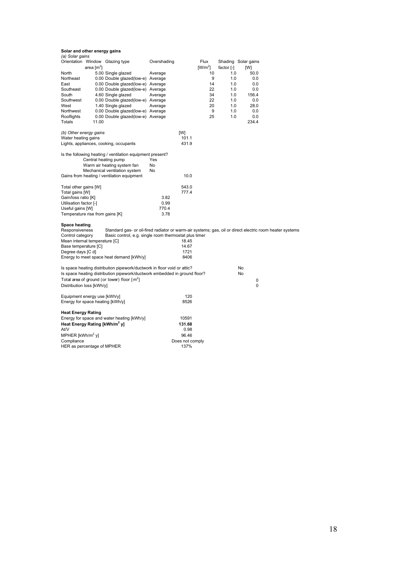| (a) Solar gains                               |                                                                                                          |             |                 |           |              |                     |  |
|-----------------------------------------------|----------------------------------------------------------------------------------------------------------|-------------|-----------------|-----------|--------------|---------------------|--|
| Orientation Window Glazing type               |                                                                                                          | Overshading |                 | Flux      |              | Shading Solar gains |  |
| area $[m^2]$                                  |                                                                                                          |             |                 | $[W/m^2]$ | factor $[-]$ | [W]                 |  |
| North                                         | 5.00 Single glazed                                                                                       | Average     |                 | 10        | 1.0          | 50.0                |  |
| Northeast                                     | 0.00 Double glazed(low-e) Average                                                                        |             |                 | 9         | 1.0          | 0.0                 |  |
| East                                          | 0.00 Double glazed(low-e) Average                                                                        |             |                 | 14        | 1.0          | 0.0                 |  |
| Southeast                                     |                                                                                                          |             |                 | 22        | 1.0          | 0.0                 |  |
|                                               | 0.00 Double glazed(low-e) Average                                                                        |             |                 |           |              |                     |  |
| South                                         | 4.60 Single glazed                                                                                       | Average     |                 | 34        | 1.0          | 156.4               |  |
| Southwest                                     | 0.00 Double glazed(low-e) Average                                                                        |             |                 | 22        | 1.0          | 0.0                 |  |
| West                                          | 1.40 Single glazed                                                                                       | Average     |                 | 20        | 1.0          | 28.0                |  |
| Northwest                                     | 0.00 Double glazed(low-e) Average                                                                        |             |                 | 9         | 1.0          | 0.0                 |  |
| Rooflights                                    | 0.00 Double glazed(low-e) Average                                                                        |             |                 | 25        | 1.0          | 0.0                 |  |
| Totals<br>11.00                               |                                                                                                          |             |                 |           |              | 234.4               |  |
|                                               |                                                                                                          |             |                 |           |              |                     |  |
| (b) Other energy gains                        |                                                                                                          |             | [W]             |           |              |                     |  |
| Water heating gains                           |                                                                                                          |             | 101.1           |           |              |                     |  |
| Lights, appliances, cooking, occupants        |                                                                                                          |             | 431.9           |           |              |                     |  |
|                                               |                                                                                                          |             |                 |           |              |                     |  |
|                                               | Is the following heating / ventilation equipment present?                                                |             |                 |           |              |                     |  |
|                                               | Central heating pump                                                                                     | Yes         |                 |           |              |                     |  |
|                                               | Warm air heating system fan                                                                              | <b>No</b>   |                 |           |              |                     |  |
|                                               |                                                                                                          | No.         |                 |           |              |                     |  |
|                                               | Mechanical ventilation system                                                                            |             |                 |           |              |                     |  |
| Gains from heating / ventilation equipment    |                                                                                                          |             | 10.0            |           |              |                     |  |
|                                               |                                                                                                          |             |                 |           |              |                     |  |
| Total other gains [W]                         |                                                                                                          |             | 543.0           |           |              |                     |  |
| Total gains [W]                               |                                                                                                          |             | 777.4           |           |              |                     |  |
| Gain/loss ratio [K]                           |                                                                                                          | 3.82        |                 |           |              |                     |  |
| Utilisation factor [-]                        |                                                                                                          | 0.99        |                 |           |              |                     |  |
| Useful gains [W]                              |                                                                                                          | 770.4       |                 |           |              |                     |  |
| Temperature rise from gains [K]               |                                                                                                          | 3.78        |                 |           |              |                     |  |
|                                               |                                                                                                          |             |                 |           |              |                     |  |
| Space heating                                 |                                                                                                          |             |                 |           |              |                     |  |
| Responsiveness                                | Standard gas- or oil-fired radiator or warm-air systems; gas, oil or direct electric room heater systems |             |                 |           |              |                     |  |
| Control category                              | Basic control, e.g. single room thermostat plus timer                                                    |             |                 |           |              |                     |  |
| Mean internal temperature [C]                 |                                                                                                          |             | 18.45           |           |              |                     |  |
| Base temperature [C]                          |                                                                                                          |             | 14.67           |           |              |                     |  |
| Degree days [C d]                             |                                                                                                          |             | 1721            |           |              |                     |  |
|                                               |                                                                                                          |             | 8406            |           |              |                     |  |
|                                               | Energy to meet space heat demand [kWh/y]                                                                 |             |                 |           |              |                     |  |
|                                               |                                                                                                          |             |                 |           |              |                     |  |
|                                               | Is space heating distribution pipework/ductwork in floor void or attic?                                  |             |                 |           |              | No                  |  |
|                                               | Is space heating distribution pipework/ductwork embedded in ground floor?                                |             |                 |           |              | No                  |  |
| Total area of ground (or lower) floor $[m^2]$ |                                                                                                          |             |                 |           |              | 0                   |  |
| Distribution loss [kWh/y]                     |                                                                                                          |             |                 |           |              | 0                   |  |
|                                               |                                                                                                          |             |                 |           |              |                     |  |
| Equipment energy use [kWh/y]                  |                                                                                                          |             | 120             |           |              |                     |  |
| Energy for space heating [kWh/y]              |                                                                                                          |             | 8526            |           |              |                     |  |
|                                               |                                                                                                          |             |                 |           |              |                     |  |
| <b>Heat Energy Rating</b>                     |                                                                                                          |             |                 |           |              |                     |  |
|                                               | Energy for space and water heating [kWh/y]                                                               |             | 10591           |           |              |                     |  |
|                                               |                                                                                                          |             |                 |           |              |                     |  |
| Heat Energy Rating [kWh/m <sup>2</sup> y]     |                                                                                                          |             | 131.68          |           |              |                     |  |
| At/V                                          |                                                                                                          |             | 0.98            |           |              |                     |  |
| MPHER [kWh/m <sup>2</sup> y]                  |                                                                                                          |             | 96.46           |           |              |                     |  |
| Compliance                                    |                                                                                                          |             | Does not comply |           |              |                     |  |
| HER as percentage of MPHER                    |                                                                                                          |             | 137%            |           |              |                     |  |
|                                               |                                                                                                          |             |                 |           |              |                     |  |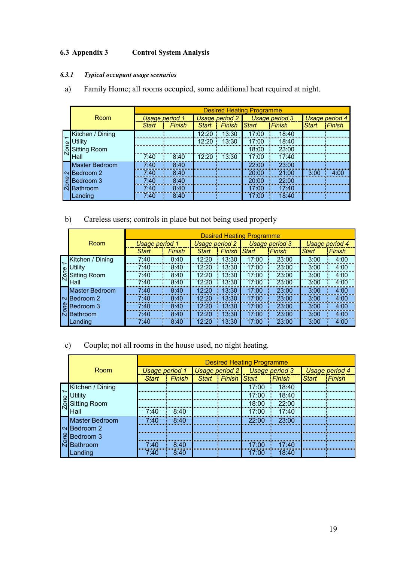## <span id="page-19-0"></span>**6.3 Appendix 3 Control System Analysis**

## *6.3.1 Typical occupant usage scenarios*

a) Family Home; all rooms occupied, some additional heat required at night.

|                       |                |        |              |                       | <b>Desired Heating Programme</b> |                |              |                |
|-----------------------|----------------|--------|--------------|-----------------------|----------------------------------|----------------|--------------|----------------|
| Room                  | Usage period 1 |        |              | <b>Usage period 2</b> |                                  | Usage period 3 |              | Usage period 4 |
|                       | <b>Start</b>   | Finish | <b>Start</b> | <b>Finish</b>         | <b>Start</b>                     | Finish         | <b>Start</b> | Finish         |
| Kitchen / Dining      |                |        | 12:20        | 13:30                 | 17:00                            | 18:40          |              |                |
| Jtilitv               |                |        | 12:20        | 13:30                 | 17:00                            | 18:40          |              |                |
| <b>Sitting Room</b>   |                |        |              |                       | 18:00                            | 23:00          |              |                |
| <b>Hall</b>           | 7:40           | 8:40   | 12:20        | 13:30                 | 17:00                            | 17:40          |              |                |
| <b>Master Bedroom</b> | 7.40           | 8:40   |              |                       | 22:00                            | 23:00          |              |                |
| NBedroom 2            | 7:40           | 8:40   |              |                       | 20:00                            | 21:00          | 3:00         | 4:00           |
| Bedroom 3             | 7:40           | 8:40   |              |                       | 20:00                            | 22:00          |              |                |
| Bathroom              | 7:40           | 8:40   |              |                       | 17:00                            | 17:40          |              |                |
| .anding               | 7:40           | 8:40   |              |                       | 17:00                            | 18:40          |              |                |

## b) Careless users; controls in place but not being used properly

|                       |                       |        |                       |               | <b>Desired Heating Programme</b> |                |                |        |
|-----------------------|-----------------------|--------|-----------------------|---------------|----------------------------------|----------------|----------------|--------|
| Room                  | <b>Usage period 1</b> |        | <b>Usage period 2</b> |               |                                  | Usage period 3 | Usage period 4 |        |
|                       | <b>Start</b>          | Finish | Start                 | <b>Finish</b> | Start                            | Finish         | <b>Start</b>   | Finish |
| Kitchen / Dining      | 7:40                  | 8:40   | 12:20                 | 13:30         | 17:00                            | 23:00          | 3:00           | 4:00   |
| Utilitv               | 7:40                  | 8:40   | 12:20                 | 13:30         | 17:00                            | 23:00          | 3:00           | 4:00   |
| Sitting Room          | 7:40                  | 8:40   | 12:20                 | 13:30         | 17:00                            | 23:00          | 3:00           | 4:00   |
| Hall                  | 7:40                  | 8:40   | 12:20                 | 13:30         | 17:00                            | 23:00          | 3:00           | 4:00   |
| <b>Master Bedroom</b> | 7:40                  | 8:40   | 12:20                 | 13:30         | 17:00                            | 23:00          | 3:00           | 4:00   |
| $\sim$ Bedroom 2      | 7:40                  | 8:40   | 12:20                 | 13:30         | 17:00                            | 23:00          | 3:00           | 4:00   |
| 'IBedroom 3           | 7:40                  | 8:40   | 12:20                 | 13:30         | 17:00                            | 23:00          | 3:00           | 4:00   |
| <b>R</b> Bathroom     | 7:40                  | 8:40   | 12:20                 | 13:30         | 17:00                            | 23:00          | 3:00           | 4:00   |
| Landing               | 7:40                  | 8:40   | 12:20                 | 13:30         | 17:00                            | 23:00          | 3:00           | 4:00   |

## c) Couple; not all rooms in the house used, no night heating.

|                     |                |      |                           |  | <b>Desired Heating Programme</b> |               |                       |               |
|---------------------|----------------|------|---------------------------|--|----------------------------------|---------------|-----------------------|---------------|
| Room                | Usage period 1 |      | Usage period 2            |  | Usage period 3                   |               | <b>Usage period 4</b> |               |
|                     | <b>Start</b>   |      | Finish Start Finish Start |  |                                  | <b>Finish</b> | Start                 | <b>Finish</b> |
| Kitchen / Dining    |                |      |                           |  | 17:00                            | 18:40         |                       |               |
| ltilitv             |                |      |                           |  | 17:00                            | 18:40         |                       |               |
| <b>Sitting Room</b> |                |      |                           |  | 18:00                            | 22:00         |                       |               |
| lHall               | 7:40           | 8:40 |                           |  | 17:00                            | 17:40         |                       |               |
| Master Bedroom      | 7.40           | 8:40 |                           |  | 22.OO                            | 23:00         |                       |               |
| $\sim$ Bedroom 2    |                |      |                           |  |                                  |               |                       |               |
| Bedroom 3           |                |      |                           |  |                                  |               |                       |               |
| Bathroom            | 7.40           | 8:40 |                           |  | 17:00                            | 17.40         |                       |               |
| .anding             | 7:40           | 8:40 |                           |  | 7.OO                             | 18:40         |                       |               |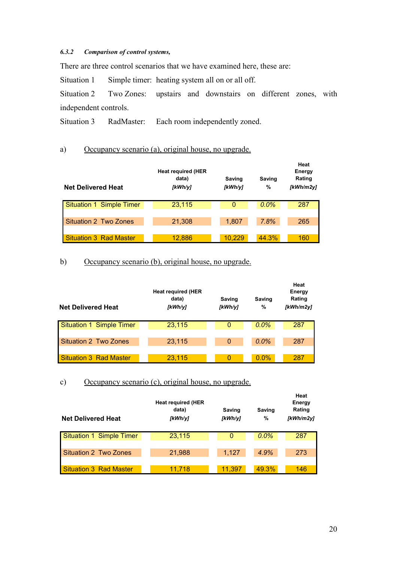## <span id="page-20-0"></span>*6.3.2 Comparison of control systems,*

There are three control scenarios that we have examined here, these are:

Situation 1 Simple timer: heating system all on or all off.

Situation 2 Two Zones: upstairs and downstairs on different zones, with independent controls.

Situation 3 RadMaster: Each room independently zoned.

## a) Occupancy scenario (a), original house, no upgrade.

| <b>Net Delivered Heat</b>       | <b>Heat required (HER</b><br>data)<br>[kWh/y] | Saving<br>KWh/y | <b>Saving</b><br>$\%$ | Heat<br>Energy<br>Rating<br>[kWh/m2y] |
|---------------------------------|-----------------------------------------------|-----------------|-----------------------|---------------------------------------|
| <b>Situation 1 Simple Timer</b> | 23,115                                        | 0               | $0.0\%$               | 287                                   |
|                                 |                                               |                 |                       |                                       |
| Situation 2 Two Zones           | 21,308                                        | 1,807           | 7.8%                  | 265                                   |
|                                 |                                               |                 |                       |                                       |
| <b>Situation 3 Rad Master</b>   | 12,886                                        | 10,229          | 44.3%                 | 160                                   |

## b) Occupancy scenario (b), original house, no upgrade.

| <b>Net Delivered Heat</b>     | <b>Heat required (HER</b><br>data)<br>[kWh/y] | Saving<br>[kWh/y] | Saving<br>% | Heat<br>Energy<br>Rating<br>[kWh/m2y] |
|-------------------------------|-----------------------------------------------|-------------------|-------------|---------------------------------------|
| Situation 1 Simple Timer      | 23,115                                        | 0                 | $0.0\%$     | 287                                   |
|                               |                                               |                   |             |                                       |
| <b>Situation 2 Two Zones</b>  | 23,115                                        | $\mathbf 0$       | $0.0\%$     | 287                                   |
|                               |                                               |                   |             |                                       |
| <b>Situation 3 Rad Master</b> | 23,115                                        | 0                 | $0.0\%$     | 287                                   |

c) Occupancy scenario (c), original house, no upgrade.

| <b>Net Delivered Heat</b>       | <b>Heat required (HER</b><br>data)<br>[kWh/y] | Saving<br>[kWh/y] | Saving<br>% | Heat<br>Energy<br>Rating<br>[kWh/m2y] |  |  |
|---------------------------------|-----------------------------------------------|-------------------|-------------|---------------------------------------|--|--|
| <b>Situation 1 Simple Timer</b> | 23,115                                        | 0                 | 0.0%        | 287                                   |  |  |
|                                 |                                               |                   |             |                                       |  |  |
| Situation 2 Two Zones           | 21,988                                        | 1,127             | 4.9%        | 273                                   |  |  |
|                                 |                                               |                   |             |                                       |  |  |
| <b>Situation 3 Rad Master</b>   | 11.718                                        | 11,397            | 49.3%       | 146                                   |  |  |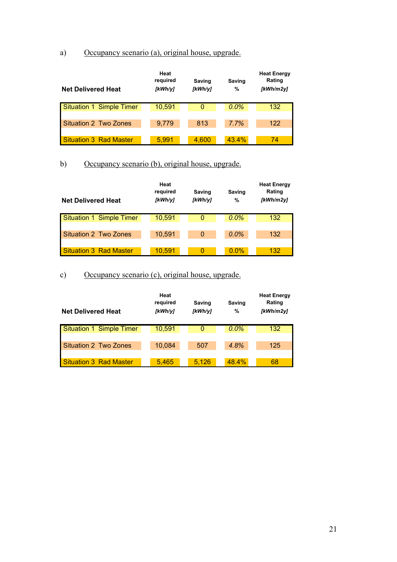## a) Occupancy scenario (a), original house, upgrade.

| <b>Net Delivered Heat</b>       | Heat<br>required<br>[kWh/y] | <b>Saving</b><br>[kWh/y] | <b>Saving</b><br>% | <b>Heat Energy</b><br>Rating<br>[kWh/m2y] |
|---------------------------------|-----------------------------|--------------------------|--------------------|-------------------------------------------|
| <b>Situation 1 Simple Timer</b> | 10,591                      | 0                        | $0.0\%$            | 132                                       |
|                                 |                             |                          |                    |                                           |
| <b>Situation 2 Two Zones</b>    | 9.779                       | 813                      | 7.7%               | 122                                       |
|                                 |                             |                          |                    |                                           |
| <b>Situation 3 Rad Master</b>   | 5,991                       | 4,600                    | 43.4%              | 74                                        |

## b) Occupancy scenario (b), original house, upgrade.

| <b>Net Delivered Heat</b>       | Heat<br>required<br>[kWh/y] | Saving<br>[kWh/y] | <b>Saving</b><br>% | <b>Heat Energy</b><br>Rating<br>[kWh/m2v] |
|---------------------------------|-----------------------------|-------------------|--------------------|-------------------------------------------|
| <b>Situation 1 Simple Timer</b> | 10,591                      | 0                 | 0.0%               | 132                                       |
|                                 |                             |                   |                    |                                           |
| <b>Situation 2 Two Zones</b>    | 10,591                      | 0                 | $0.0\%$            | 132                                       |
|                                 |                             |                   |                    |                                           |
| <b>Situation 3 Rad Master</b>   | 10,591                      | 0                 | $0.0\%$            | 132                                       |

## c) Occupancy scenario (c), original house, upgrade.

| <b>Net Delivered Heat</b>     | Heat<br>required<br>[kWh/y] | Saving<br>[kWh/y] | Saving<br>% | <b>Heat Energy</b><br>Rating<br>[kWh/m2y] |
|-------------------------------|-----------------------------|-------------------|-------------|-------------------------------------------|
| Situation 1 Simple Timer      | 10,591                      | 0                 | $0.0\%$     | 132                                       |
|                               |                             |                   |             |                                           |
| Situation 2 Two Zones         | 10,084                      | 507               | 4.8%        | 125                                       |
|                               |                             |                   |             |                                           |
| <b>Situation 3 Rad Master</b> | 5,465                       | 5.126             | 48.4%       | 68                                        |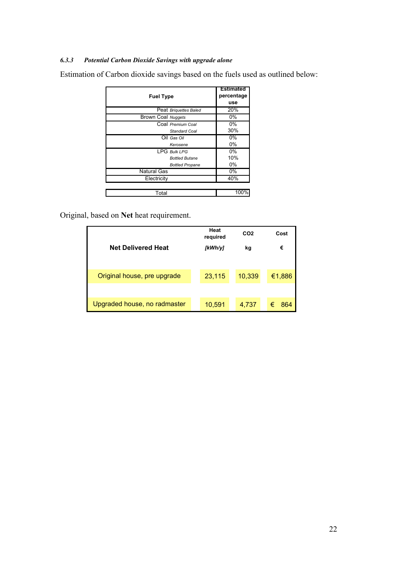## <span id="page-22-0"></span>*6.3.3 Potential Carbon Dioxide Savings with upgrade alone*

Estimation of Carbon dioxide savings based on the fuels used as outlined below:

| <b>Fuel Type</b>          | <b>Estimated</b><br>percentage<br>use |
|---------------------------|---------------------------------------|
| Peat Briguettes Baled     | 20%                                   |
| <b>Brown Coal Nuggets</b> | $0\%$                                 |
| Coal Premium Coal         | 0%                                    |
| <b>Standard Coal</b>      | 30%                                   |
| Oil Gas Oil               | 0%                                    |
| Kerosene                  | 0%                                    |
| <b>LPG Bulk LPG</b>       | 0%                                    |
| <b>Bottled Butane</b>     | 10%                                   |
| <b>Bottled Propane</b>    | 0%                                    |
| <b>Natural Gas</b>        | 0%                                    |
| Electricity               | 40%                                   |
|                           |                                       |
| Total                     | 100%                                  |

Original, based on **Net** heat requirement.

| <b>Net Delivered Heat</b>    | Heat<br>required<br>[kWh/y] | CO <sub>2</sub><br>kg | Cost<br>€ |
|------------------------------|-----------------------------|-----------------------|-----------|
| Original house, pre upgrade  | 23,115                      | 10,339                | €1,886    |
|                              |                             |                       |           |
| Upgraded house, no radmaster | 10,591                      | 4,737                 | €<br>864  |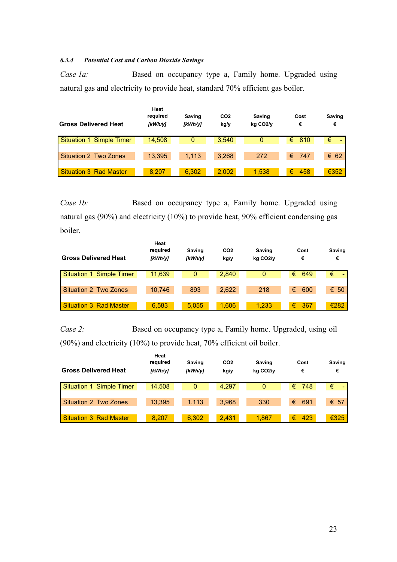## <span id="page-23-0"></span>*6.3.4 Potential Cost and Carbon Dioxide Savings*

*Case 1a:* Based on occupancy type a, Family home. Upgraded using natural gas and electricity to provide heat, standard 70% efficient gas boiler.

| <b>Gross Delivered Heat</b>   | Heat<br>required<br>[kWh/y] | <b>Saving</b><br>[kWh/y] | CO <sub>2</sub><br>kg/y | <b>Saving</b><br>kg CO <sub>2/V</sub> | Cost<br>€      | Saving<br>€   |
|-------------------------------|-----------------------------|--------------------------|-------------------------|---------------------------------------|----------------|---------------|
| Situation 1 Simple Timer      | 14,508                      | 0                        | 3.540                   | 0                                     | $\epsilon$ 810 | €<br>$\sim$   |
|                               |                             |                          |                         |                                       |                |               |
| Situation 2 Two Zones         | 13.395                      | 1.113                    | 3.268                   | 272                                   | 747<br>€       | $\epsilon$ 62 |
|                               |                             |                          |                         |                                       |                |               |
| <b>Situation 3 Rad Master</b> | 8.207                       | 6.302                    | 2.002                   | 1.538                                 | €<br>458       | €352          |

*Case 1b:* Based on occupancy type a, Family home. Upgraded using natural gas (90%) and electricity (10%) to provide heat, 90% efficient condensing gas boiler.

| <b>Gross Delivered Heat</b> | Heat<br>required<br>[kWh/y] | Saving<br>[kWh/y] | CO <sub>2</sub><br>kg/y | Saving<br>kg CO <sub>2/V</sub> | Cost<br>€         | Saving<br>€ |
|-----------------------------|-----------------------------|-------------------|-------------------------|--------------------------------|-------------------|-------------|
| Situation 1 Simple Timer    | 11.639                      | 0                 | 2,840                   | $\mathbf{0}$                   | $\epsilon$<br>649 | €           |
| Situation 2 Two Zones       | 10.746                      | 893               | 2.622                   | 218                            | €<br>600          | € 50        |
| Situation 3 Rad Master      | 6.583                       | 5.055             | 1.606                   | 1.233                          | €<br>367          | €282        |

*Case 2:* Based on occupancy type a, Family home. Upgraded, using oil (90%) and electricity (10%) to provide heat, 70% efficient oil boiler.

| <b>Gross Delivered Heat</b>     | Heat<br>required<br>[kWh/y] | Saving<br>[kWh/y] | CO <sub>2</sub><br>kg/y | Saving<br>kg CO <sub>2</sub> /y | Cost<br>€ | Saving<br>€ |
|---------------------------------|-----------------------------|-------------------|-------------------------|---------------------------------|-----------|-------------|
| <b>Situation 1 Simple Timer</b> | 14.508                      | 0                 | 4,297                   |                                 | 748<br>€  | €           |
| <b>Situation 2 Two Zones</b>    | 13,395                      | 1.113             | 3.968                   | 330                             | €<br>691  | € 57        |
| Situation 3 Rad Master          | 8.207                       | 6.302             | 2.431                   | 1.867                           | €<br>423  | €325        |